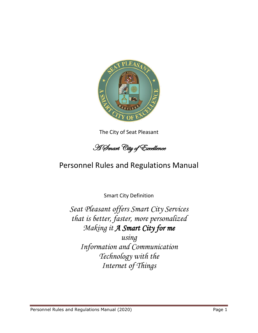

The City of Seat Pleasant

A Smart City of Excellence

# Personnel Rules and Regulations Manual

Smart City Definition

*Seat Pleasant offers Smart City Services that is better, faster, more personalized Making it A Smart City for me*

*using Information and Communication Technology with the Internet of Things*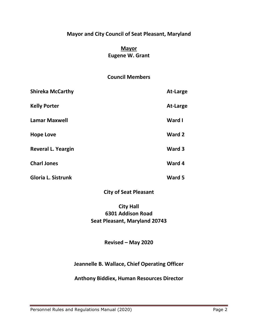# **Mayor and City Council of Seat Pleasant, Maryland**

# **Mayor Eugene W. Grant**

# **Council Members**

| <b>Shireka McCarthy</b>   | At-Large |
|---------------------------|----------|
| <b>Kelly Porter</b>       | At-Large |
| <b>Lamar Maxwell</b>      | Ward I   |
| <b>Hope Love</b>          | Ward 2   |
| <b>Reveral L. Yeargin</b> | Ward 3   |
| <b>Charl Jones</b>        | Ward 4   |
| <b>Gloria L. Sistrunk</b> | Ward 5   |

**City of Seat Pleasant**

# **City Hall 6301 Addison Road Seat Pleasant, Maryland 20743**

# **Revised – May 2020**

# **Jeannelle B. Wallace, Chief Operating Officer**

# **Anthony Biddiex, Human Resources Director**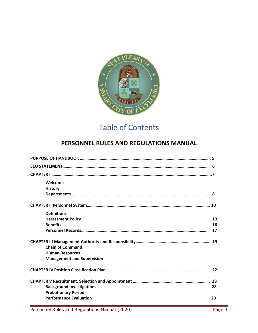

# Table of Contents

# **PERSONNEL RULES AND REGULATIONS MANUAL**

| Welcome                           |    |
|-----------------------------------|----|
| <b>History</b>                    |    |
|                                   |    |
|                                   |    |
| <b>Definitions</b>                |    |
| <b>Harassment Policy</b>          | 13 |
| <b>Benefits</b>                   | 16 |
|                                   | 17 |
|                                   |    |
| <b>Chain of Command</b>           |    |
| <b>Human Resources</b>            |    |
| <b>Management and Supervision</b> |    |
|                                   |    |
|                                   |    |
| <b>Background Investigations</b>  | 28 |
| <b>Probationary Period</b>        |    |
| <b>Performance Evaluation</b>     | 29 |
|                                   |    |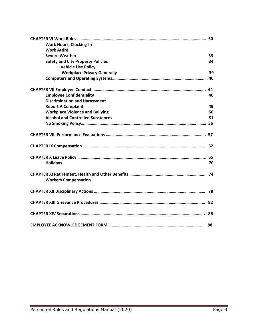| <b>Work Hours, Clocking-In</b>           |    |
|------------------------------------------|----|
| <b>Work Attire</b>                       |    |
| <b>Severe Weather</b>                    | 33 |
| <b>Safety and City Property Policies</b> | 34 |
| <b>Vehicle Use Policy</b>                |    |
| <b>Workplace Privacy Generally</b>       | 39 |
|                                          |    |
|                                          |    |
| <b>Employee Confidentiality</b>          | 46 |
| <b>Discrimination and Harassment</b>     |    |
| <b>Report A Complaint</b>                | 49 |
| <b>Workplace Violence and Bullying</b>   | 50 |
| <b>Alcohol and Controlled Substances</b> | 51 |
|                                          |    |
|                                          |    |
|                                          |    |
|                                          |    |
|                                          |    |
| <b>Holidays</b>                          | 70 |
| <b>Workers Compensation</b>              |    |
|                                          |    |
|                                          |    |
|                                          |    |
|                                          | 88 |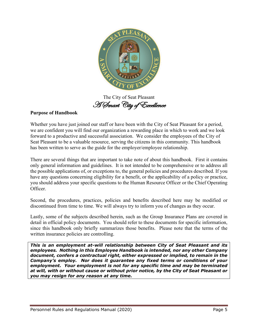

The City of Seat Pleasant A Smart City of Excellence

# **Purpose of Handbook**

Whether you have just joined our staff or have been with the City of Seat Pleasant for a period, we are confident you will find our organization a rewarding place in which to work and we look forward to a productive and successful association. We consider the employees of the City of Seat Pleasant to be a valuable resource, serving the citizens in this community. This handbook has been written to serve as the guide for the employer/employee relationship.

There are several things that are important to take note of about this handbook. First it contains only general information and guidelines. It is not intended to be comprehensive or to address all the possible applications of, or exceptions to, the general policies and procedures described. If you have any questions concerning eligibility for a benefit, or the applicability of a policy or practice, you should address your specific questions to the Human Resource Officer or the Chief Operating Officer.

Second, the procedures, practices, policies and benefits described here may be modified or discontinued from time to time. We will always try to inform you of changes as they occur.

Lastly, some of the subjects described herein, such as the Group Insurance Plans are covered in detail in official policy documents. You should refer to these documents for specific information, since this handbook only briefly summarizes those benefits. Please note that the terms of the written insurance policies are controlling.

*This is an employment at-will relationship between City of Seat Pleasant and its employees. Nothing in this Employee Handbook is intended, nor any other Company document, confers a contractual right, either expressed or implied, to remain in the Company's employ. Nor does it guarantee any fixed terms or conditions of your employment. Your employment is not for any specific time and may be terminated at will, with or without cause or without prior notice, by the City of Seat Pleasant or you may resign for any reason at any time.*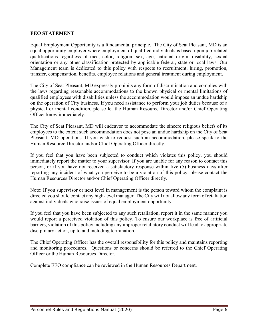#### **EEO STATEMENT**

Equal Employment Opportunity is a fundamental principle. The City of Seat Pleasant, MD is an equal opportunity employer where employment of qualified individuals is based upon job-related qualifications regardless of race, color, religion, sex, age, national origin, disability, sexual orientation or any other classification protected by applicable federal, state or local laws. Our Management team is dedicated to this policy with respects to recruitment, hiring, promotion, transfer, compensation, benefits, employee relations and general treatment during employment.

The City of Seat Pleasant, MD expressly prohibits any form of discrimination and complies with the laws regarding reasonable accommodations to the known physical or mental limitations of qualified employees with disabilities unless the accommodation would impose an undue hardship on the operation of City business. If you need assistance to perform your job duties because of a physical or mental condition, please let the Human Resource Director and/or Chief Operating Officer know immediately.

The City of Seat Pleasant, MD will endeavor to accommodate the sincere religious beliefs of its employees to the extent such accommodation does not pose an undue hardship on the City of Seat Pleasant, MD operations. If you wish to request such an accommodation, please speak to the Human Resource Director and/or Chief Operating Officer directly.

If you feel that you have been subjected to conduct which violates this policy, you should immediately report the matter to your supervisor. If you are unable for any reason to contact this person, or if you have not received a satisfactory response within five (5) business days after reporting any incident of what you perceive to be a violation of this policy, please contact the Human Resources Director and/or Chief Operating Officer directly.

Note: If you supervisor or next level in management is the person toward whom the complaint is directed you should contact any high-level manager. The City will not allow any form of retaliation against individuals who raise issues of equal employment opportunity.

If you feel that you have been subjected to any such retaliation, report it in the same manner you would report a perceived violation of this policy. To ensure our workplace is free of artificial barriers, violation of this policy including any improper retaliatory conduct will lead to appropriate disciplinary action, up to and including termination.

The Chief Operating Officer has the overall responsibility for this policy and maintains reporting and monitoring procedures. Questions or concerns should be referred to the Chief Operating Officer or the Human Resources Director.

Complete EEO compliance can be reviewed in the Human Resources Department.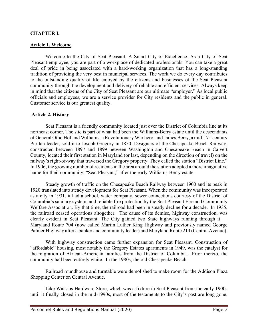#### **CHAPTER I.**

#### **Article 1. Welcome**

Welcome to the City of Seat Pleasant, A Smart City of Excellence. As a City of Seat Pleasant employee, you are part of a workplace of dedicated professionals. You can take a great deal of pride in being associated with a hard-working organization that has a long-standing tradition of providing the very best in municipal services. The work we do every day contributes to the outstanding quality of life enjoyed by the citizens and businesses of the Seat Pleasant community through the development and delivery of reliable and efficient services. Always keep in mind that the citizens of the City of Seat Pleasant are our ultimate "employer." As local public officials and employees, we are a service provider for City residents and the public in general. Customer service is our greatest quality.

#### **Article 2. History**

Seat Pleasant is a friendly community located just over the District of Columbia line at its northeast corner. The site is part of what had been the Williams-Berry estate until the descendants of General Otho Holland Williams, a Revolutionary War hero, and James Berry, a mid-17<sup>th</sup> century Puritan leader, sold it to Joseph Gregory in 1850. Designers of the Chesapeake Beach Railway, constructed between 1897 and 1899 between Washington and Chesapeake Beach in Calvert County, located their first station in Maryland (or last, depending on the direction of travel) on the railway's right-of-way that traversed the Gregory property. They called the station "District Line." In 1906, the growing number of residents in the area around the station adopted a more imaginative name for their community, "Seat Pleasant," after the early Williams-Berry estate.

Steady growth of traffic on the Chesapeake Beach Railway between 1900 and its peak in 1920 translated into steady development for Seat Pleasant. When the community was incorporated as a city in 1931, it had a school, water company, sewer connections courtesy of the District of Columbia's sanitary system, and reliable fire protection by the Seat Pleasant Fire and Community Welfare Association. By that time, the railroad had been in steady decline for a decade. In 1935, the railroad ceased operations altogether. The cause of its demise, highway construction, was clearly evident in Seat Pleasant. The City gained two State highways running through it — Maryland Route 704 (now called Martin Luther King Highway and previously named George Palmer Highway after a banker and community leader) and Maryland Route 214 (Central Avenue).

With highway construction came further expansion for Seat Pleasant. Construction of "affordable" housing, most notably the Gregory Estates apartments in 1949, was the catalyst for the migration of African-American families from the District of Columbia. Prior thereto, the community had been entirely white. In the 1980s, the old Chesapeake Beach.

Railroad roundhouse and turntable were demolished to make room for the Addison Plaza Shopping Center on Central Avenue.

Like Watkins Hardware Store, which was a fixture in Seat Pleasant from the early 1900s until it finally closed in the mid-1990s, most of the testaments to the City's past are long gone.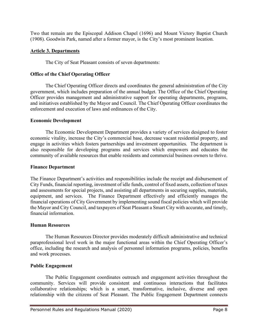Two that remain are the Episcopal Addison Chapel (1696) and Mount Victory Baptist Church (1908). Goodwin Park, named after a former mayor, is the City's most prominent location.

#### **Article 3. Departments**

The City of Seat Pleasant consists of seven departments:

#### **Office of the Chief Operating Officer**

The Chief Operating Officer directs and coordinates the general administration of the City government, which includes preparation of the annual budget. The Office of the Chief Operating Officer provides management and administrative support for operating departments, programs, and initiatives established by the Mayor and Council. The Chief Operating Officer coordinates the enforcement and execution of laws and ordinances of the City.

#### **Economic Development**

The Economic Development Department provides a variety of services designed to foster economic vitality, increase the City's commercial base, decrease vacant residential property, and engage in activities which fosters partnerships and investment opportunities. The department is also responsible for developing programs and services which empowers and educates the community of available resources that enable residents and commercial business owners to thrive.

#### **Finance Department**

The Finance Department's activities and responsibilities include the receipt and disbursement of City Funds, financial reporting, investment of idle funds, control of fixed assets, collection of taxes and assessments for special projects, and assisting all departments in securing supplies, materials, equipment, and services. The Finance Department effectively and efficiently manages the financial operations of City Government by implementing sound fiscal policies which will provide the Mayor and City Council, and taxpayers of Seat Pleasant a Smart City with accurate, and timely, financial information.

#### **Human Resources**

The Human Resources Director provides moderately difficult administrative and technical paraprofessional level work in the major functional areas within the Chief Operating Officer's office, including the research and analysis of personnel information programs, policies, benefits and work processes.

#### **Public Engagement**

The Public Engagement coordinates outreach and engagement activities throughout the community. Services will provide consistent and continuous interactions that facilitates collaborative relationships; which is a smart, transformative, inclusive, diverse and open relationship with the citizens of Seat Pleasant. The Public Engagement Department connects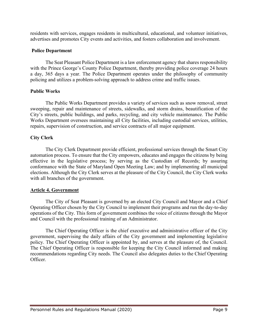residents with services, engages residents in multicultural, educational, and volunteer initiatives, advertises and promotes City events and activities, and fosters collaboration and involvement.

#### **Police Department**

The Seat Pleasant Police Department is a law enforcement agency that shares responsibility with the Prince George's County Police Department, thereby providing police coverage 24 hours a day, 365 days a year. The Police Department operates under the philosophy of community policing and utilizes a problem-solving approach to address crime and traffic issues.

#### **Public Works**

The Public Works Department provides a variety of services such as snow removal, street sweeping, repair and maintenance of streets, sidewalks, and storm drains, beautification of the City's streets, public buildings, and parks, recycling, and city vehicle maintenance. The Public Works Department oversees maintaining all City facilities, including custodial services, utilities, repairs, supervision of construction, and service contracts of all major equipment.

# **City Clerk**

The City Clerk Department provide efficient, professional services through the Smart City automation process. To ensure that the City empowers, educates and engages the citizens by being effective in the legislative process; by serving as the Custodian of Records; by assuring conformance with the State of Maryland Open Meeting Law; and by implementing all municipal elections. Although the City Clerk serves at the pleasure of the City Council, the City Clerk works with all branches of the government.

# **Article 4. Government**

The City of Seat Pleasant is governed by an elected City Council and Mayor and a Chief Operating Officer chosen by the City Council to implement their programs and run the day-to-day operations of the City. This form of government combines the voice of citizens through the Mayor and Council with the professional training of an Administrator.

The Chief Operating Officer is the chief executive and administrative officer of the City government, supervising the daily affairs of the City government and implementing legislative policy. The Chief Operating Officer is appointed by, and serves at the pleasure of, the Council. The Chief Operating Officer is responsible for keeping the City Council informed and making recommendations regarding City needs. The Council also delegates duties to the Chief Operating Officer.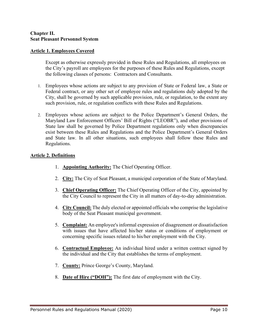#### **Chapter II. Seat Pleasant Personnel System**

#### **Article 1. Employees Covered**

Except as otherwise expressly provided in these Rules and Regulations, all employees on the City's payroll are employees for the purposes of these Rules and Regulations, except the following classes of persons: Contractors and Consultants.

- 1. Employees whose actions are subject to any provision of State or Federal law, a State or Federal contract, or any other set of employee rules and regulations duly adopted by the City, shall be governed by such applicable provision, rule, or regulation, to the extent any such provision, rule, or regulation conflicts with these Rules and Regulations.
- 2. Employees whose actions are subject to the Police Department's General Orders, the Maryland Law Enforcement Officers' Bill of Rights ("LEOBR"), and other provisions of State law shall be governed by Police Department regulations only when discrepancies exist between these Rules and Regulations and the Police Department's General Orders and State law. In all other situations, such employees shall follow these Rules and Regulations.

#### **Article 2. Definitions**

- 1. **Appointing Authority:** The Chief Operating Officer.
- 2. **City:** The City of Seat Pleasant, a municipal corporation of the State of Maryland.
- 3. **Chief Operating Officer:** The Chief Operating Officer of the City, appointed by the City Council to represent the City in all matters of day-to-day administration.
- 4. **City Council:** The duly elected or appointed officials who comprise the legislative body of the Seat Pleasant municipal government.
- 5. **Complaint:** An employee's informal expression of disagreement or dissatisfaction with issues that have affected his/her status or conditions of employment or concerning specific issues related to his/her employment with the City.
- 6. **Contractual Employee:** An individual hired under a written contract signed by the individual and the City that establishes the terms of employment.
- 7. **County:** Prince George's County, Maryland.
- 8. **Date of Hire ("DOH"):** The first date of employment with the City.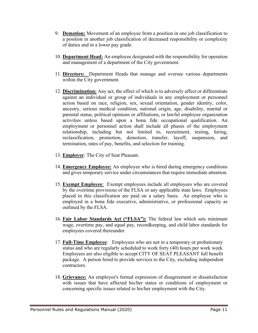- 9. **Demotion:** Movement of an employee from a position in one job classification to a position in another job classification of decreased responsibility or complexity of duties and in a lower pay grade.
- 10. **Department Head:** An employee designated with the responsibility for operation and management of a department of the City government.
- 11. **Directors:** Department Heads that manage and oversee various departments within the City government.
- 12. **Discrimination:** Any act, the effect of which is to adversely affect or differentiate against an individual or group of individuals in any employment or personnel action based on race, religion, sex, sexual orientation, gender identity, color, ancestry, serious medical condition, national origin, age, disability, marital or parental status, political opinions or affiliations, or lawful employee organization activities unless based upon a bona fide occupational qualification. An employment or personnel action shall include all phases of the employment relationship, including but not limited to, recruitment, testing, hiring, reclassification, promotion, demotion, transfer, layoff, suspension, and termination, rates of pay, benefits, and selection for training.
- 13. **Employer**: The City of Seat Pleasant.
- 14. **Emergency Employee:** An employee who is hired during emergency conditions and gives temporary service under circumstances that require immediate attention.
- 15. **Exempt Employee**: Exempt employees include all employees who are covered by the overtime provisions of the FLSA or any applicable state laws. Employees placed in this classification are paid on a salary basis. An employee who is employed in a bona fide executive, administrative, or professional capacity as outlined by the FLSA.
- 16. **Fair Labor Standards Act ("FLSA"):** The federal law which sets minimum wage, overtime pay, and equal pay, recordkeeping, and child labor standards for employees covered thereunder.
- 17. **Full-Time Employee**: Employees who are not in a temporary or probationary status and who are regularly scheduled to work forty (40) hours per work week. Employees are also eligible to accept CITY OF SEAT PLEASANT full benefit package. A person hired to provide services to the City, excluding independent contractors.
- 18. **Grievance:** An employee's formal expression of disagreement or dissatisfaction with issues that have affected his/her status or conditions of employment or concerning specific issues related to his/her employment with the City.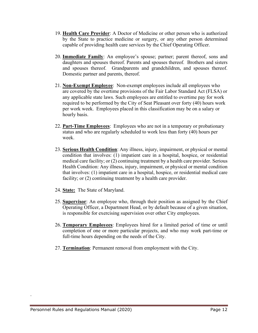- 19. **Health Care Provider**: A Doctor of Medicine or other person who is authorized by the State to practice medicine or surgery, or any other person determined capable of providing health care services by the Chief Operating Officer.
- 20. **Immediate Family**: An employee's spouse; partner; parent thereof, sons and daughters and spouses thereof. Parents and spouses thereof. Brothers and sisters and spouses thereof. Grandparents and grandchildren, and spouses thereof. Domestic partner and parents, thereof.
- 21. **Non-Exempt Employee**: Non-exempt employees include all employees who are covered by the overtime provisions of the Fair Labor Standard Act (FLSA) or any applicable state laws. Such employees are entitled to overtime pay for work required to be performed by the City of Seat Pleasant over forty (40) hours work per work week. Employees placed in this classification may be on a salary or hourly basis.
- 22. **Part-Time Employees**: Employees who are not in a temporary or probationary status and who are regularly scheduled to work less than forty (40) hours per week.
- 23. **Serious Health Condition**: Any illness, injury, impairment, or physical or mental condition that involves: (1) impatient care in a hospital, hospice, or residential medical care facility; or (2) continuing treatment by a health care provider. Serious Health Condition: Any illness, injury, impairment, or physical or mental condition that involves: (1) impatient care in a hospital, hospice, or residential medical care facility; or (2) continuing treatment by a health care provider.
- 24. **State:** The State of Maryland.
- 25. **Supervisor**: An employee who, through their position as assigned by the Chief Operating Officer, a Department Head, or by default because of a given situation, is responsible for exercising supervision over other City employees.
- 26. **Temporary Employees**: Employees hired for a limited period of time or until completion of one or more particular projects, and who may work part-time or full-time hours depending on the needs of the City.
- 27. **Termination**: Permanent removal from employment with the City.

.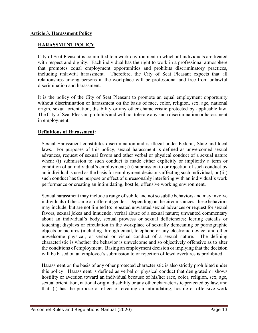# **Article 3. Harassment Policy**

# **HARASSMENT POLICY**

City of Seat Pleasant is committed to a work environment in which all individuals are treated with respect and dignity. Each individual has the right to work in a professional atmosphere that promotes equal employment opportunities and prohibits discriminatory practices, including unlawful harassment. Therefore, the City of Seat Pleasant expects that all relationships among persons in the workplace will be professional and free from unlawful discrimination and harassment.

It is the policy of the City of Seat Pleasant to promote an equal employment opportunity without discrimination or harassment on the basis of race, color, religion, sex, age, national origin, sexual orientation, disability or any other characteristic protected by applicable law. The City of Seat Pleasant prohibits and will not tolerate any such discrimination or harassment in employment.

#### **Definitions of Harassment:**

Sexual Harassment constitutes discrimination and is illegal under Federal, State and local laws. For purposes of this policy, sexual harassment is defined as unwelcomed sexual advances, request of sexual favors and other verbal or physical conduct of a sexual nature when: (i) submission to such conduct is made either explicitly or implicitly a term or condition of an individual's employment; (ii) submission to or rejection of such conduct by an individual is used as the basis for employment decisions affecting such individual; or (iii) such conduct has the purpose or effect of unreasonably interfering with an individual's work performance or creating an intimidating, hostile, offensive working environment.

Sexual harassment may include a range of subtle and not so subtle behaviors and may involve individuals of the same or different gender. Depending on the circumstances, these behaviors may include, but are not limited to: repeated unwanted sexual advances or request for sexual favors, sexual jokes and innuendo; verbal abuse of a sexual nature; unwanted commentary about an individual's body, sexual prowess or sexual deficiencies; leering catcalls or touching; displays or circulation in the workplace of sexually demeaning or pornographic objects or pictures (including through email, telephone or any electronic device; and other unwelcome physical, or verbal or visual conduct of a sexual nature. The defining characteristic is whether the behavior is unwelcome and so objectively offensive as to alter the conditions of employment. Basing an employment decision or implying that the decision will be based on an employee's submission to or rejection of lewd overtures is prohibited.

Harassment on the basis of any other protected characteristic is also strictly prohibited under this policy. Harassment is defined as verbal or physical conduct that denigrated or shows hostility or aversion toward an individual because of his/her race, color, religion, sex, age, sexual orientation, national origin, disability or any other characteristic protected by law, and that: (i) has the purpose or effect of creating an intimidating, hostile or offensive work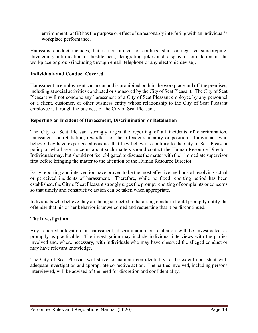environment; or (ii) has the purpose or effect of unreasonably interfering with an individual's workplace performance.

Harassing conduct includes, but is not limited to, epithets, slurs or negative stereotyping; threatening, intimidation or hostile acts; denigrating jokes and display or circulation in the workplace or group (including through email, telephone or any electronic devise).

#### **Individuals and Conduct Covered**

Harassment in employment can occur and is prohibited both in the workplace and off the premises, including at social activities conducted or sponsored by the City of Seat Pleasant. The City of Seat Pleasant will not condone any harassment of a City of Seat Pleasant employee by any personnel or a client, customer, or other business entity whose relationship to the City of Seat Pleasant employee is through the business of the City of Seat Pleasant.

#### **Reporting an Incident of Harassment, Discrimination or Retaliation**

The City of Seat Pleasant strongly urges the reporting of all incidents of discrimination, harassment, or retaliation, regardless of the offender's identity or position. Individuals who believe they have experienced conduct that they believe is contrary to the City of Seat Pleasant policy or who have concerns about such matters should contact the Human Resource Director. Individuals may, but should not feel obligated to discussthe matter with their immediate supervisor first before bringing the matter to the attention of the Human Resource Director.

Early reporting and intervention have proven to be the most effective methods of resolving actual or perceived incidents of harassment. Therefore, while no fixed reporting period has been established, the City of Seat Pleasant strongly urges the prompt reporting of complaints or concerns so that timely and constructive action can be taken when appropriate.

Individuals who believe they are being subjected to harassing conduct should promptly notify the offender that his or her behavior is unwelcomed and requesting that it be discontinued.

#### **The Investigation**

Any reported allegation or harassment, discrimination or retaliation will be investigated as promptly as practicable. The investigation may include individual interviews with the parties involved and, where necessary, with individuals who may have observed the alleged conduct or may have relevant knowledge.

The City of Seat Pleasant will strive to maintain confidentiality to the extent consistent with adequate investigation and appropriate corrective action. The parties involved, including persons interviewed, will be advised of the need for discretion and confidentiality.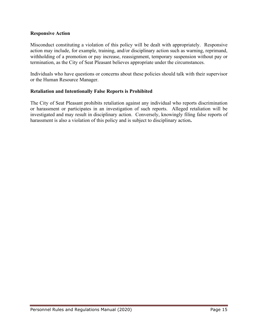#### **Responsive Action**

Misconduct constituting a violation of this policy will be dealt with appropriately. Responsive action may include, for example, training, and/or disciplinary action such as warning, reprimand, withholding of a promotion or pay increase, reassignment, temporary suspension without pay or termination, as the City of Seat Pleasant believes appropriate under the circumstances.

Individuals who have questions or concerns about these policies should talk with their supervisor or the Human Resource Manager.

# **Retaliation and Intentionally False Reports is Prohibited**

The City of Seat Pleasant prohibits retaliation against any individual who reports discrimination or harassment or participates in an investigation of such reports. Alleged retaliation will be investigated and may result in disciplinary action. Conversely, knowingly filing false reports of harassment is also a violation of this policy and is subject to disciplinary action**.**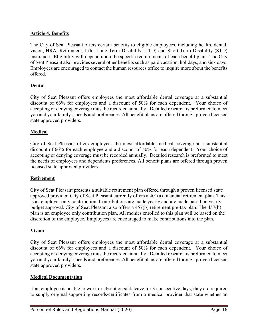# **Article 4. Benefits**

The City of Seat Pleasant offers certain benefits to eligible employees, including health, dental, vision, HRA, Retirement, Life, Long Term Disability (LTD) and Short-Term Disability (STD) insurance. Eligibility will depend upon the specific requirements of each benefit plan. The City of Seat Pleasant also provides several other benefits such as paid vacation, holidays, and sick days. Employees are encouraged to contact the human resources office to inquire more about the benefits offered.

# **Dental**

City of Seat Pleasant offers employees the most affordable dental coverage at a substantial discount of 66% for employees and a discount of 50% for each dependent. Your choice of accepting or denying coverage must be recorded annually. Detailed research is preformed to meet you and your family's needs and preferences. All benefit plans are offered through proven licensed state approved providers.

# **Medical**

City of Seat Pleasant offers employees the most affordable medical coverage at a substantial discount of 66% for each employee and a discount of 50% for each dependent. Your choice of accepting or denying coverage must be recorded annually. Detailed research is preformed to meet the needs of employees and dependents preferences. All benefit plans are offered through proven licensed state approved providers.

# **Retirement**

City of Seat Pleasant presents a suitable retirement plan offered through a proven licensed state approved provider. City of Seat Pleasant currently offers a 401(a) financial retirement plan. This is an employer only contribution. Contributions are made yearly and are made based on yearly budget approval. City of Seat Pleasant also offers a 457(b) retirement pre-tax plan. The 457(b) plan is an employee only contribution plan. All monies enrolled to this plan will be based on the discretion of the employee. Employees are encouraged to make contributions into the plan.

# **Vision**

City of Seat Pleasant offers employees the most affordable dental coverage at a substantial discount of 66% for employees and a discount of 50% for each dependent. Your choice of accepting or denying coverage must be recorded annually. Detailed research is preformed to meet you and your family's needs and preferences. All benefit plans are offered through proven licensed state approved providers**.**

# **Medical Documentation**

If an employee is unable to work or absent on sick leave for 3 consecutive days, they are required to supply original supporting records/certificates from a medical provider that state whether an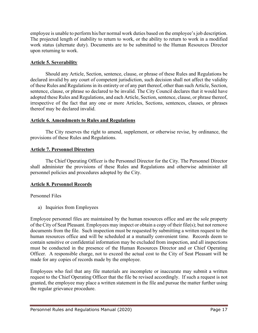employee is unable to perform his/her normal work duties based on the employee's job description. The projected length of inability to return to work, or the ability to return to work in a modified work status (alternate duty). Documents are to be submitted to the Human Resources Director upon returning to work.

# **Article 5. Severability**

Should any Article, Section, sentence, clause, or phrase of these Rules and Regulations be declared invalid by any court of competent jurisdiction, such decision shall not affect the validity of these Rules and Regulations in its entirety or of any part thereof, other than such Article, Section, sentence, clause, or phrase so declared to be invalid. The City Council declares that it would have adopted these Rules and Regulations, and each Article, Section, sentence, clause, or phrase thereof, irrespective of the fact that any one or more Articles, Sections, sentences, clauses, or phrases thereof may be declared invalid.

# **Article 6. Amendments to Rules and Regulations**

The City reserves the right to amend, supplement, or otherwise revise, by ordinance, the provisions of these Rules and Regulations.

# **Article 7. Personnel Directors**

The Chief Operating Officer is the Personnel Director for the City. The Personnel Director shall administer the provisions of these Rules and Regulations and otherwise administer all personnel policies and procedures adopted by the City.

# **Article 8. Personnel Records**

Personnel Files

a) Inquiries from Employees

Employee personnel files are maintained by the human resources office and are the sole property of the City of Seat Pleasant. Employees may inspect or obtain a copy of their file(s); but not remove documents from the file. Such inspection must be requested by submitting a written request to the human resources office and will be scheduled at a mutually convenient time. Records deem to contain sensitive or confidential information may be excluded from inspection, and all inspections must be conducted in the presence of the Human Resources Director and or Chief Operating Officer.A responsible charge, not to exceed the actual cost to the City of Seat Pleasant will be made for any copies of records made by the employee.

Employees who feel that any file materials are incomplete or inaccurate may submit a written request to the Chief Operating Officer that the file be revised accordingly. If such a request is not granted, the employee may place a written statement in the file and pursue the matter further using the regular grievance procedure.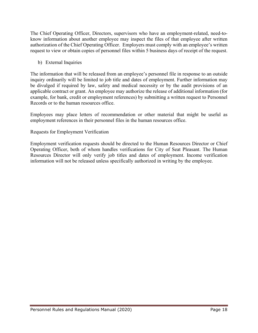The Chief Operating Officer, Directors, supervisors who have an employment-related, need-toknow information about another employee may inspect the files of that employee after written authorization of the Chief Operating Officer. Employers must comply with an employee's written request to view or obtain copies of personnel files within 5 business days of receipt of the request.

b) External Inquiries

The information that will be released from an employee's personnel file in response to an outside inquiry ordinarily will be limited to job title and dates of employment. Further information may be divulged if required by law, safety and medical necessity or by the audit provisions of an applicable contract or grant. An employee may authorize the release of additional information (for example, for bank, credit or employment references) by submitting a written request to Personnel Records or to the human resources office.

Employees may place letters of recommendation or other material that might be useful as employment references in their personnel files in the human resources office.

# Requests for Employment Verification

Employment verification requests should be directed to the Human Resources Director or Chief Operating Officer, both of whom handles verifications for City of Seat Pleasant. The Human Resources Director will only verify job titles and dates of employment. Income verification information will not be released unless specifically authorized in writing by the employee.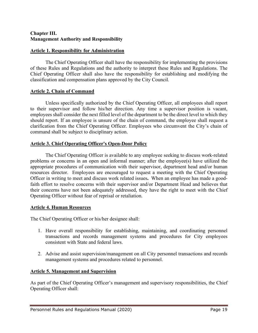#### **Chapter III. Management Authority and Responsibility**

#### **Article 1. Responsibility for Administration**

The Chief Operating Officer shall have the responsibility for implementing the provisions of these Rules and Regulations and the authority to interpret these Rules and Regulations. The Chief Operating Officer shall also have the responsibility for establishing and modifying the classification and compensation plans approved by the City Council.

#### **Article 2. Chain of Command**

Unless specifically authorized by the Chief Operating Officer, all employees shall report to their supervisor and follow his/her direction. Any time a supervisor position is vacant, employees shall consider the next filled level of the department to be the direct level to which they should report. If an employee is unsure of the chain of command, the employee shall request a clarification from the Chief Operating Officer. Employees who circumvent the City's chain of command shall be subject to disciplinary action.

# **Article 3. Chief Operating Officer's Open-Door Policy**

The Chief Operating Officer is available to any employee seeking to discuss work-related problems or concerns in an open and informal manner; after the employee(s) have utilized the appropriate procedures of communication with their supervisor, department head and/or human resources director. Employees are encouraged to request a meeting with the Chief Operating Officer in writing to meet and discuss work related issues**.** When an employee has made a goodfaith effort to resolve concerns with their supervisor and/or Department Head and believes that their concerns have not been adequately addressed, they have the right to meet with the Chief Operating Officer without fear of reprisal or retaliation.

# **Article 4. Human Resources**

The Chief Operating Officer or his/her designee shall:

- 1. Have overall responsibility for establishing, maintaining, and coordinating personnel transactions and records management systems and procedures for City employees consistent with State and federal laws.
- 2. Advise and assist supervision/management on all City personnel transactions and records management systems and procedures related to personnel.

#### **Article 5. Management and Supervision**

As part of the Chief Operating Officer's management and supervisory responsibilities, the Chief Operating Officer shall: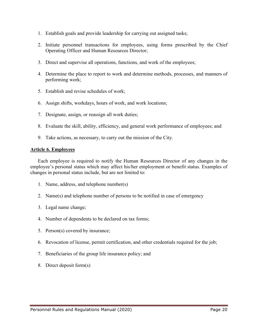- 1. Establish goals and provide leadership for carrying out assigned tasks;
- 2. Initiate personnel transactions for employees, using forms prescribed by the Chief Operating Officer and Human Resources Director;
- 3. Direct and supervise all operations, functions, and work of the employees;
- 4. Determine the place to report to work and determine methods, processes, and manners of performing work;
- 5. Establish and revise schedules of work;
- 6. Assign shifts, workdays, hours of work, and work locations;
- 7. Designate, assign, or reassign all work duties;
- 8. Evaluate the skill, ability, efficiency, and general work performance of employees; and
- 9. Take actions, as necessary, to carry out the mission of the City.

#### **Article 6. Employees**

Each employee is required to notify the Human Resources Director of any changes in the employee's personal status which may affect his/her employment or benefit status. Examples of changes in personal status include, but are not limited to:

- 1. Name, address, and telephone number(s)
- 2. Name(s) and telephone number of persons to be notified in case of emergency
- 3. Legal name change;
- 4. Number of dependents to be declared on tax forms;
- 5. Person(s) covered by insurance;
- 6. Revocation of license, permit certification, and other credentials required for the job;
- 7. Beneficiaries of the group life insurance policy; and
- 8. Direct deposit form(s)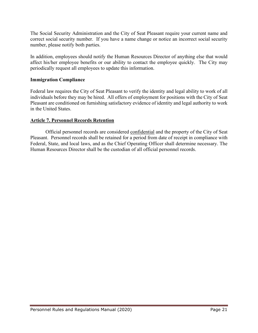The Social Security Administration and the City of Seat Pleasant require your current name and correct social security number. If you have a name change or notice an incorrect social security number, please notify both parties.

In addition, employees should notify the Human Resources Director of anything else that would affect his/her employee benefits or our ability to contact the employee quickly. The City may periodically request all employees to update this information.

# **Immigration Compliance**

Federal law requires the City of Seat Pleasant to verify the identity and legal ability to work of all individuals before they may be hired. All offers of employment for positions with the City of Seat Pleasant are conditioned on furnishing satisfactory evidence of identity and legal authority to work in the United States.

#### **Article 7. Personnel Records Retention**

Official personnel records are considered confidential and the property of the City of Seat Pleasant. Personnel records shall be retained for a period from date of receipt in compliance with Federal, State, and local laws, and as the Chief Operating Officer shall determine necessary. The Human Resources Director shall be the custodian of all official personnel records.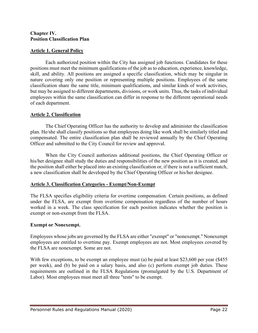#### **Chapter IV. Position Classification Plan**

# **Article 1. General Policy**

Each authorized position within the City has assigned job functions. Candidates for these positions must meet the minimum qualifications of the job as to education, experience, knowledge, skill, and ability. All positions are assigned a specific classification, which may be singular in nature covering only one position or representing multiple positions. Employees of the same classification share the same title, minimum qualifications, and similar kinds of work activities, but may be assigned to different departments, divisions, or work units. Thus, the tasks of individual employees within the same classification can differ in response to the different operational needs of each department.

# **Article 2. Classification**

The Chief Operating Officer has the authority to develop and administer the classification plan. He/she shall classify positions so that employees doing like work shall be similarly titled and compensated. The entire classification plan shall be reviewed annually by the Chief Operating Officer and submitted to the City Council for review and approval.

When the City Council authorizes additional positions, the Chief Operating Officer or his/her designee shall study the duties and responsibilities of the new position as it is created, and the position shall either be placed into an existing classification or, if there is not a sufficient match, a new classification shall be developed by the Chief Operating Officer or his/her designee.

# **Article 3. Classification Categories - Exempt/Non-Exempt**

The FLSA specifies eligibility criteria for overtime compensation. Certain positions, as defined under the FLSA, are exempt from overtime compensation regardless of the number of hours worked in a week. The class specification for each position indicates whether the position is exempt or non-exempt from the FLSA.

# **Exempt or Nonexempt.**

Employees whose jobs are governed by the FLSA are either "exempt" or "nonexempt." Nonexempt employees are entitled to overtime pay. Exempt employees are not. Most employees covered by the FLSA are nonexempt. Some are not.

With few exceptions, to be exempt an employee must (a) be paid at least \$23,600 per year (\$455) per week), and (b) be paid on a salary basis, and also (c) perform exempt job duties. These requirements are outlined in the FLSA Regulations (promulgated by the U.S. Department of Labor). Most employees must meet all three "tests" to be exempt.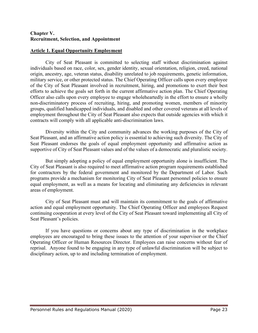#### **Chapter V. Recruitment, Selection, and Appointment**

#### **Article 1. Equal Opportunity Employment**

City of Seat Pleasant is committed to selecting staff without discrimination against individuals based on race, color, sex, gender identity, sexual orientation, religion, creed, national origin, ancestry, age, veteran status, disability unrelated to job requirements, genetic information, military service, or other protected status. The Chief Operating Officer calls upon every employee of the City of Seat Pleasant involved in recruitment, hiring, and promotions to exert their best efforts to achieve the goals set forth in the current affirmative action plan. The Chief Operating Officer also calls upon every employee to engage wholeheartedly in the effort to ensure a wholly non-discriminatory process of recruiting, hiring, and promoting women, members of minority groups, qualified handicapped individuals, and disabled and other covered veterans at all levels of employment throughout the City of Seat Pleasant also expects that outside agencies with which it contracts will comply with all applicable anti-discrimination laws.

Diversity within the City and community advances the working purposes of the City of Seat Pleasant, and an affirmative action policy is essential to achieving such diversity. The City of Seat Pleasant endorses the goals of equal employment opportunity and affirmative action as supportive of City of Seat Pleasant values and of the values of a democratic and pluralistic society.

But simply adopting a policy of equal employment opportunity alone is insufficient. The City of Seat Pleasant is also required to meet affirmative action program requirements established for contractors by the federal government and monitored by the Department of Labor. Such programs provide a mechanism for monitoring City of Seat Pleasant personnel policies to ensure equal employment, as well as a means for locating and eliminating any deficiencies in relevant areas of employment.

City of Seat Pleasant must and will maintain its commitment to the goals of affirmative action and equal employment opportunity. The Chief Operating Officer and employees Request continuing cooperation at every level of the City of Seat Pleasant toward implementing all City of Seat Pleasant's policies.

If you have questions or concerns about any type of discrimination in the workplace employees are encouraged to bring these issues to the attention of your supervisor or the Chief Operating Officer or Human Resources Director. Employees can raise concerns without fear of reprisal. Anyone found to be engaging in any type of unlawful discrimination will be subject to disciplinary action, up to and including termination of employment.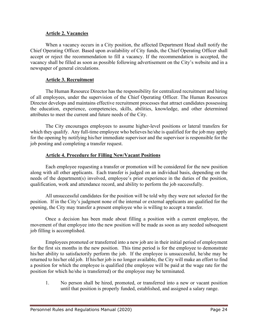#### **Article 2. Vacancies**

When a vacancy occurs in a City position, the affected Department Head shall notify the Chief Operating Officer. Based upon availability of City funds, the Chief Operating Officer shall accept or reject the recommendation to fill a vacancy. If the recommendation is accepted, the vacancy shall be filled as soon as possible following advertisement on the City's website and in a newspaper of general circulations.

# **Article 3. Recruitment**

The Human Resource Director has the responsibility for centralized recruitment and hiring of all employees, under the supervision of the Chief Operating Officer. The Human Resources Director develops and maintains effective recruitment processes that attract candidates possessing the education, experience, competencies, skills, abilities, knowledge, and other determined attributes to meet the current and future needs of the City.

The City encourages employees to assume higher-level positions or lateral transfers for which they qualify. Any full-time employee who believes he/she is qualified for the job may apply for the opening by notifying his/her immediate supervisor and the supervisor is responsible for the job posting and completing a transfer request.

#### **Article 4. Procedure for Filling New/Vacant Positions**

Each employee requesting a transfer or promotion will be considered for the new position along with all other applicants. Each transfer is judged on an individual basis, depending on the needs of the department(s) involved, employee's prior experience in the duties of the position, qualification, work and attendance record, and ability to perform the job successfully.

All unsuccessful candidates for the position will be told why they were not selected for the position. If in the City's judgment none of the internal or external applicants are qualified for the opening, the City may transfer a present employee who is willing to accept a transfer.

Once a decision has been made about filling a position with a current employee, the movement of that employee into the new position will be made as soon as any needed subsequent job filling is accomplished.

Employees promoted or transferred into a new job are in their initial period of employment for the first six months in the new position. This time period is for the employee to demonstrate his/her ability to satisfactorily perform the job. If the employee is unsuccessful, he/she may be returned to his/her old job. If his/her job is no longer available, the City will make an effort to find a position for which the employee is qualified (the employee will be paid at the wage rate for the position for which he/she is transferred) or the employee may be terminated.

1. No person shall be hired, promoted, or transferred into a new or vacant position until that position is properly funded, established, and assigned a salary range.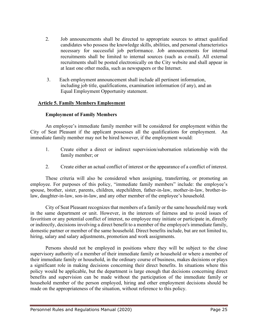- 2. Job announcements shall be directed to appropriate sources to attract qualified candidates who possess the knowledge skills, abilities, and personal characteristics necessary for successful job performance. Job announcements for internal recruitments shall be limited to internal sources (such as e-mail). All external recruitments shall be posted electronically on the City website and shall appear in at least one other media, such as newspapers or the Internet.
- 3. Each employment announcement shall include all pertinent information, including job title, qualifications, examination information (if any), and an Equal Employment Opportunity statement.

# **Article 5. Family Members Employment**

# **Employment of Family Members**

An employee's immediate family member will be considered for employment within the City of Seat Pleasant if the applicant possesses all the qualifications for employment. An immediate family member may not be hired however, if the employment would:

- 1. Create either a direct or indirect supervision/subornation relationship with the family member; or
- 2. Create either an actual conflict of interest or the appearance of a conflict of interest.

These criteria will also be considered when assigning, transferring, or promoting an employee. For purposes of this policy, "immediate family members" include: the employee's spouse, brother, sister, parents, children, stepchildren, father-in-law, mother-in-law, brother-inlaw, daughter-in-law, son-in-law, and any other member of the employee's household.

City of Seat Pleasant recognizes that members of a family or the same household may work in the same department or unit. However, in the interests of fairness and to avoid issues of favoritism or any potential conflict of interest, no employee may initiate or participate in, directly or indirectly, decisions involving a direct benefit to a member of the employee's immediate family, domestic partner or member of the same household. Direct benefits include, but are not limited to, hiring, salary and salary adjustments, promotion and work assignments.

Persons should not be employed in positions where they will be subject to the close supervisory authority of a member of their immediate family or household or where a member of their immediate family or household, in the ordinary course of business, makes decisions or plays a significant role in making decisions concerning their direct benefits. In situations where this policy would be applicable, but the department is large enough that decisions concerning direct benefits and supervision can be made without the participation of the immediate family or household member of the person employed, hiring and other employment decisions should be made on the appropriateness of the situation, without reference to this policy.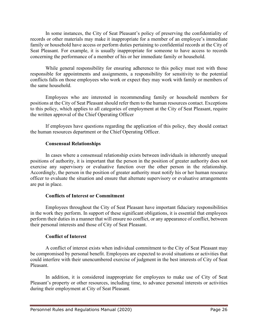In some instances, the City of Seat Pleasant's policy of preserving the confidentiality of records or other materials may make it inappropriate for a member of an employee's immediate family or household have access or perform duties pertaining to confidential records at the City of Seat Pleasant. For example, it is usually inappropriate for someone to have access to records concerning the performance of a member of his or her immediate family or household.

While general responsibility for ensuring adherence to this policy must rest with those responsible for appointments and assignments, a responsibility for sensitivity to the potential conflicts falls on those employees who work or expect they may work with family or members of the same household.

Employees who are interested in recommending family or household members for positions at the City of Seat Pleasant should refer them to the human resources contact. Exceptions to this policy, which applies to all categories of employment at the City of Seat Pleasant, require the written approval of the Chief Operating Officer

If employees have questions regarding the application of this policy, they should contact the human resources department or the Chief Operating Officer.

# **Consensual Relationships**

In cases where a consensual relationship exists between individuals in inherently unequal positions of authority, it is important that the person in the position of greater authority does not exercise any supervisory or evaluative function over the other person in the relationship. Accordingly, the person in the position of greater authority must notify his or her human resource officer to evaluate the situation and ensure that alternate supervisory or evaluative arrangements are put in place.

# **Conflicts of Interest or Commitment**

Employees throughout the City of Seat Pleasant have important fiduciary responsibilities in the work they perform. In support of these significant obligations, it is essential that employees perform their duties in a manner that will ensure no conflict, or any appearance of conflict, between their personal interests and those of City of Seat Pleasant.

# **Conflict of Interest**

A conflict of interest exists when individual commitment to the City of Seat Pleasant may be compromised by personal benefit. Employees are expected to avoid situations or activities that could interfere with their unencumbered exercise of judgment in the best interests of City of Seat Pleasant.

In addition, it is considered inappropriate for employees to make use of City of Seat Pleasant's property or other resources, including time, to advance personal interests or activities during their employment at City of Seat Pleasant.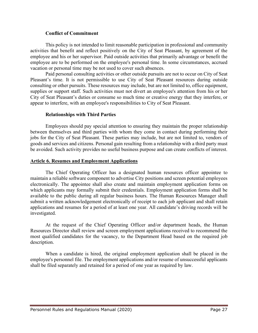#### **Conflict of Commitment**

This policy is not intended to limit reasonable participation in professional and community activities that benefit and reflect positively on the City of Seat Pleasant, by agreement of the employee and his or her supervisor. Paid outside activities that primarily advantage or benefit the employee are to be performed on the employee's personal time. In some circumstances, accrued vacation or personal time may be not used to cover such absences.

Paid personal consulting activities or other outside pursuits are not to occur on City of Seat Pleasant's time. It is not permissible to use City of Seat Pleasant resources during outside consulting or other pursuits. These resources may include, but are not limited to, office equipment, supplies or support staff. Such activities must not divert an employee's attention from his or her City of Seat Pleasant's duties or consume so much time or creative energy that they interfere, or appear to interfere, with an employee's responsibilities to City of Seat Pleasant.

# **Relationships with Third Parties**

Employees should pay special attention to ensuring they maintain the proper relationship between themselves and third parties with whom they come in contact during performing their jobs for the City of Seat Pleasant. These parties may include, but are not limited to, vendors of goods and services and citizens. Personal gain resulting from a relationship with a third party must be avoided. Such activity provides no useful business purpose and can create conflicts of interest.

#### **Article 6. Resumes and Employment Applications**

The Chief Operating Officer has a designated human resources officer appointee to maintain a reliable software component to advertise City positions and screen potential employees electronically. The appointee shall also create and maintain employment application forms on which applicants may formally submit their credentials. Employment application forms shall be available to the public during all regular business hours. The Human Resources Manager shall submit a written acknowledgement electronically of receipt to each job applicant and shall retain applications and resumes for a period of at least one year. All candidate's driving records will be investigated.

At the request of the Chief Operating Officer and/or department heads, the Human Resources Director shall review and screen employment applications received to recommend the most qualified candidates for the vacancy, to the Department Head based on the required job description.

When a candidate is hired, the original employment application shall be placed in the employee's personnel file. The employment applications and/or resume of unsuccessful applicants shall be filed separately and retained for a period of one year as required by law.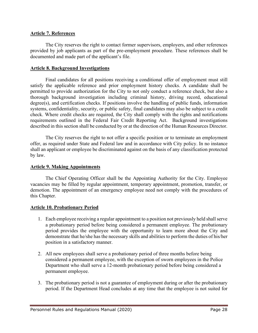#### **Article 7. References**

The City reserves the right to contact former supervisors, employers, and other references provided by job applicants as part of the pre-employment procedure. These references shall be documented and made part of the applicant's file.

#### **Article 8. Background Investigations**

Final candidates for all positions receiving a conditional offer of employment must still satisfy the applicable reference and prior employment history checks. A candidate shall be permitted to provide authorization for the City to not only conduct a reference check, but also a thorough background investigation including criminal history, driving record, educational degree(s), and certification checks. If positions involve the handling of public funds, information systems, confidentiality, security, or public safety, final candidates may also be subject to a credit check. Where credit checks are required, the City shall comply with the rights and notifications requirements outlined in the Federal Fair Credit Reporting Act. Background investigations described in this section shall be conducted by or at the direction of the Human Resources Director.

The City reserves the right to not offer a specific position or to terminate an employment offer, as required under State and Federal law and in accordance with City policy. In no instance shall an applicant or employee be discriminated against on the basis of any classification protected by law.

#### **Article 9. Making Appointments**

The Chief Operating Officer shall be the Appointing Authority for the City. Employee vacancies may be filled by regular appointment, temporary appointment, promotion, transfer, or demotion. The appointment of an emergency employee need not comply with the procedures of this Chapter.

#### **Article 10. Probationary Period**

- 1. Each employee receiving a regular appointment to a position not previously held shall serve a probationary period before being considered a permanent employee. The probationary period provides the employee with the opportunity to learn more about the City and demonstrate that he/she has the necessary skills and abilities to perform the duties of his/her position in a satisfactory manner.
- 2. All new employees shall serve a probationary period of three months before being considered a permanent employee, with the exception of sworn employees in the Police Department who shall serve a 12-month probationary period before being considered a permanent employee.
- 3. The probationary period is not a guarantee of employment during or after the probationary period. If the Department Head concludes at any time that the employee is not suited for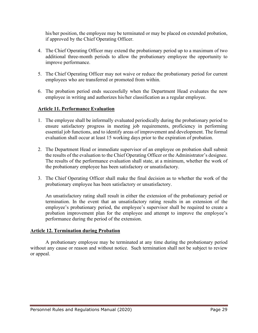his/her position, the employee may be terminated or may be placed on extended probation, if approved by the Chief Operating Officer.

- 4. The Chief Operating Officer may extend the probationary period up to a maximum of two additional three-month periods to allow the probationary employee the opportunity to improve performance.
- 5. The Chief Operating Officer may not waive or reduce the probationary period for current employees who are transferred or promoted from within.
- 6. The probation period ends successfully when the Department Head evaluates the new employee in writing and authorizes his/her classification as a regular employee.

# **Article 11. Performance Evaluation**

- 1. The employee shall be informally evaluated periodically during the probationary period to ensure satisfactory progress in meeting job requirements, proficiency in performing essential job functions, and to identify areas of improvement and development. The formal evaluation shall occur at least 15 working days prior to the expiration of probation.
- 2. The Department Head or immediate supervisor of an employee on probation shall submit the results of the evaluation to the Chief Operating Officer or the Administrator's designee. The results of the performance evaluation shall state, at a minimum, whether the work of the probationary employee has been satisfactory or unsatisfactory.
- 3. The Chief Operating Officer shall make the final decision as to whether the work of the probationary employee has been satisfactory or unsatisfactory.

An unsatisfactory rating shall result in either the extension of the probationary period or termination. In the event that an unsatisfactory rating results in an extension of the employee's probationary period, the employee's supervisor shall be required to create a probation improvement plan for the employee and attempt to improve the employee's performance during the period of the extension.

# **Article 12. Termination during Probation**

A probationary employee may be terminated at any time during the probationary period without any cause or reason and without notice. Such termination shall not be subject to review or appeal.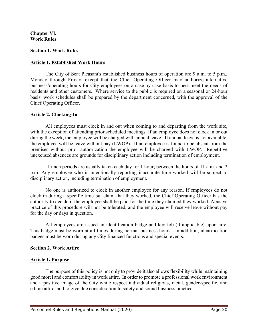#### **Chapter VI. Work Rules**

#### **Section 1. Work Rules**

#### **Article 1. Established Work Hours**

The City of Seat Pleasant's established business hours of operation are 9 a.m. to 5 p.m., Monday through Friday, except that the Chief Operating Officer may authorize alternative business/operating hours for City employees on a case-by-case basis to best meet the needs of residents and other customers. Where service to the public is required on a seasonal or 24-hour basis, work schedules shall be prepared by the department concerned, with the approval of the Chief Operating Officer.

#### **Article 2. Clocking-In**

All employees must clock in and out when coming to and departing from the work site, with the exception of attending prior scheduled meetings. If an employee does not clock in or out during the week, the employee will be charged with annual leave. If annual leave is not available, the employee will be leave without pay (LWOP). If an employee is found to be absent from the premises without prior authorization the employee will be charged with LWOP. Repetitive unexcused absences are grounds for disciplinary action including termination of employment.

Lunch periods are usually taken each day for 1 hour; between the hours of 11 a.m. and 2 p.m. Any employee who is intentionally reporting inaccurate time worked will be subject to disciplinary action, including termination of employment.

No one is authorized to clock in another employee for any reason. If employees do not clock in during a specific time but claim that they worked, the Chief Operating Officer has the authority to decide if the employee shall be paid for the time they claimed they worked. Abusive practice of this procedure will not be tolerated, and the employee will receive leave without pay for the day or days in question.

All employees are issued an identification badge and key fob (if applicable) upon hire. This badge must be worn at all times during normal business hours. In addition, identification badges must be worn during any City financed functions and special events.

#### **Section 2. Work Attire**

#### **Article 1. Purpose**

The purpose of this policy is not only to provide it also allows flexibility while maintaining good morel and comfortability in work attire. In order to promote a professional work environment and a positive image of the City while respect individual religious, racial, gender-specific, and ethnic attire, and to give due consideration to safety and sound business practice.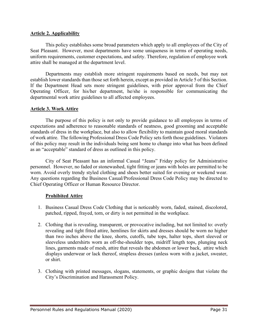#### **Article 2. Applicability**

This policy establishes some broad parameters which apply to all employees of the City of Seat Pleasant. However, most departments have some uniqueness in terms of operating needs, uniform requirements, customer expectations, and safety. Therefore, regulation of employee work attire shall be managed at the department level.

Departments may establish more stringent requirements based on needs, but may not establish lower standards than those set forth herein, except as provided in Article 5 of this Section. If the Department Head sets more stringent guidelines, with prior approval from the Chief Operating Officer, for his/her department, he/she is responsible for communicating the departmental work attire guidelines to all affected employees.

# **Article 3. Work Attire**

The purpose of this policy is not only to provide guidance to all employees in terms of expectations and adherence to reasonable standards of neatness, good grooming and acceptable standards of dress in the workplace, but also to allow flexibility to maintain good moral standards of work attire. The following Professional Dress Code Policy sets forth those guidelines. Violators of this policy may result in the individuals being sent home to change into what has been defined as an "acceptable" standard of dress as outlined in this policy.

City of Seat Pleasant has an informal Casual "Jeans" Friday policy for Administrative personnel. However, no faded or stonewashed, tight fitting or jeans with holes are permitted to be worn. Avoid overly trendy styled clothing and shoes better suited for evening or weekend wear. Any questions regarding the Business Casual/Professional Dress Code Policy may be directed to Chief Operating Officer or Human Resource Director.

# **Prohibited Attire**

- 1. Business Casual Dress Code Clothing that is noticeably worn, faded, stained, discolored, patched, ripped, frayed, torn, or dirty is not permitted in the workplace.
- 2. Clothing that is revealing, transparent, or provocative including, but not limited to: overly revealing and tight fitted attire, hemlines for skirts and dresses should be worn no higher than two inches above the knee, shorts, cutoffs, tube tops, halter tops, short sleeved or sleeveless undershirts worn as off-the-shoulder tops, midriff length tops, plunging neck lines, garments made of mesh, attire that reveals the abdomen or lower back, attire which displays underwear or lack thereof, strapless dresses (unless worn with a jacket, sweater, or shirt.
- 3. Clothing with printed messages, slogans, statements, or graphic designs that violate the City's Discrimination and Harassment Policy.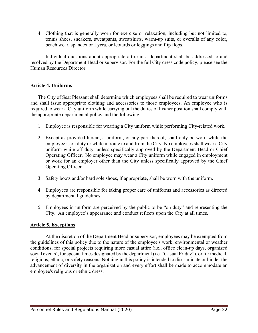4. Clothing that is generally worn for exercise or relaxation, including but not limited to, tennis shoes, sneakers, sweatpants, sweatshirts, warm-up suits, or overalls of any color, beach wear, spandex or Lycra, or leotards or leggings and flip flops.

Individual questions about appropriate attire in a department shall be addressed to and resolved by the Department Head or supervisor. For the full City dress code policy, please see the Human Resources Director.

# **Article 4. Uniforms**

The City of Seat Pleasant shall determine which employees shall be required to wear uniforms and shall issue appropriate clothing and accessories to those employees. An employee who is required to wear a City uniform while carrying out the duties of his/her position shall comply with the appropriate departmental policy and the following:

- 1. Employee is responsible for wearing a City uniform while performing City-related work.
- 2. Except as provided herein, a uniform, or any part thereof, shall only be worn while the employee is on duty or while in route to and from the City. No employees shall wear a City uniform while off duty, unless specifically approved by the Department Head or Chief Operating Officer. No employee may wear a City uniform while engaged in employment or work for an employer other than the City unless specifically approved by the Chief Operating Officer.
- 3. Safety boots and/or hard sole shoes, if appropriate, shall be worn with the uniform.
- 4. Employees are responsible for taking proper care of uniforms and accessories as directed by departmental guidelines.
- 5. Employees in uniform are perceived by the public to be "on duty" and representing the City. An employee's appearance and conduct reflects upon the City at all times.

# **Article 5. Exceptions**

At the discretion of the Department Head or supervisor, employees may be exempted from the guidelines of this policy due to the nature of the employee's work, environmental or weather conditions, for special projects requiring more casual attire (i.e., office clean-up days, organized social events), for special times designated by the department (i.e. "Casual Friday"), or for medical, religious, ethnic, or safety reasons. Nothing in this policy is intended to discriminate or hinder the advancement of diversity in the organization and every effort shall be made to accommodate an employee's religious or ethnic dress.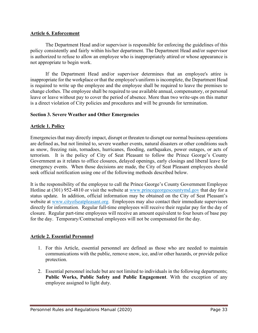# **Article 6. Enforcement**

The Department Head and/or supervisor is responsible for enforcing the guidelines of this policy consistently and fairly within his/her department. The Department Head and/or supervisor is authorized to refuse to allow an employee who is inappropriately attired or whose appearance is not appropriate to begin work.

If the Department Head and/or supervisor determines that an employee's attire is inappropriate for the workplace or that the employee's uniform is incomplete, the Department Head is required to write up the employee and the employee shall be required to leave the premises to change clothes. The employee shall be required to use available annual, compensatory, or personal leave or leave without pay to cover the period of absence. More than two write-ups on this matter is a direct violation of City policies and procedures and will be grounds for termination.

# **Section 3. Severe Weather and Other Emergencies**

# **Article 1. Policy**

Emergencies that may directly impact, disrupt or threaten to disrupt our normal business operations are defined as, but not limited to, severe weather events, natural disasters or other conditions such as snow, freezing rain, tornadoes, hurricanes, flooding, earthquakes, power outages, or acts of terrorism. It is the policy of City of Seat Pleasant to follow the Prince George's County Government as it relates to office closures, delayed openings, early closings and liberal leave for emergency events. When those decisions are made, the City of Seat Pleasant employees should seek official notification using one of the following methods described below.

It is the responsibility of the employee to call the Prince George's County Government Employee Hotline at (301) 952-4810 or visit the website at [www.princegeorgescountymd.gov](http://www.princegeorgescountymd.gov/) that day for a status update. In addition, official information may be obtained on the City of Seat Pleasant's website at www.cityofseatpleasant.org. Employees may also contact their immediate supervisors directly for information. Regular full-time employees will receive their regular pay for the day of closure. Regular part-time employees will receive an amount equivalent to four hours of base pay for the day. Temporary/Contractual employees will not be compensated for the day.

# **Article 2. Essential Personnel**

- 1. For this Article, essential personnel are defined as those who are needed to maintain communications with the public, remove snow, ice, and/or other hazards, or provide police protection.
- 2. Essential personnel include but are not limited to individuals in the following departments; **Public Works, Public Safety and Public Engagement**. With the exception of any employee assigned to light duty.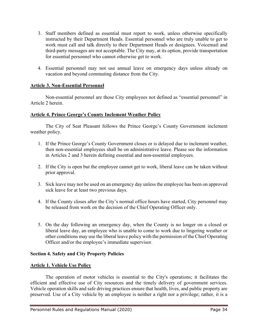- 3. Staff members defined as essential must report to work, unless otherwise specifically instructed by their Department Heads. Essential personnel who are truly unable to get to work must call and talk directly to their Department Heads or designees. Voicemail and third-party messages are not acceptable. The City may, at its option, provide transportation for essential personnel who cannot otherwise get to work.
- 4. Essential personnel may not use annual leave on emergency days unless already on vacation and beyond commuting distance from the City.

# **Article 3. Non-Essential Personnel**

Non-essential personnel are those City employees not defined as "essential personnel" in Article 2 herein.

# **Article 4. Prince George's County Inclement Weather Policy**

The City of Seat Pleasant follows the Prince George's County Government inclement weather policy.

- 1. If the Prince George's County Government closes or is delayed due to inclement weather, then non-essential employees shall be on administrative leave. Please see the information in Articles 2 and 3 herein defining essential and non-essential employees.
- 2. If the City is open but the employee cannot get to work, liberal leave can be taken without prior approval.
- 3. Sick leave may not be used on an emergency day unless the employee has been on approved sick leave for at least two previous days.
- 4. If the County closes after the City's normal office hours have started, City personnel may be released from work on the decision of the Chief Operating Officer only.
- 5. On the day following an emergency day, when the County is no longer on a closed or liberal leave day, an employee who is unable to come to work due to lingering weather or other conditions may use the liberal leave policy with the permission of the Chief Operating Officer and/or the employee's immediate supervisor.

# **Section 4. Safety and City Property Policies**

# **Article 1. Vehicle Use Policy**

The operation of motor vehicles is essential to the City's operations; it facilitates the efficient and effective use of City resources and the timely delivery of government services. Vehicle operation skills and safe driving practices ensure that health, lives, and public property are preserved. Use of a City vehicle by an employee is neither a right nor a privilege; rather, it is a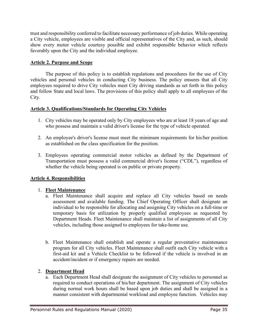trust and responsibility conferred to facilitate necessary performance of job duties. While operating a City vehicle, employees are visible and official representatives of the City and, as such, should show every motor vehicle courtesy possible and exhibit responsible behavior which reflects favorably upon the City and the individual employee.

# **Article 2. Purpose and Scope**

The purpose of this policy is to establish regulations and procedures for the use of City vehicles and personal vehicles in conducting City business. The policy ensures that all City employees required to drive City vehicles meet City driving standards as set forth in this policy and follow State and local laws. The provisions of this policy shall apply to all employees of the City.

# **Article 3. Qualifications/Standards for Operating City Vehicles**

- 1. City vehicles may be operated only by City employees who are at least 18 years of age and who possess and maintain a valid driver's license for the type of vehicle operated.
- 2. An employee's driver's license must meet the minimum requirements for his/her position as established on the class specification for the position.
- 3. Employees operating commercial motor vehicles as defined by the Department of Transportation must possess a valid commercial driver's license ("CDL"), regardless of whether the vehicle being operated is on public or private property.

# **Article 4. Responsibilities**

# 1. **Fleet Maintenance**

- a. Fleet Maintenance shall acquire and replace all City vehicles based on needs assessment and available funding. The Chief Operating Officer shall designate an individual to be responsible for allocating and assigning City vehicles on a full-time or temporary basis for utilization by properly qualified employees as requested by Department Heads. Fleet Maintenance shall maintain a list of assignments of all City vehicles, including those assigned to employees for take-home use.
- b. Fleet Maintenance shall establish and operate a regular preventative maintenance program for all City vehicles. Fleet Maintenance shall outfit each City vehicle with a first-aid kit and a Vehicle Checklist to be followed if the vehicle is involved in an accident/incident or if emergency repairs are needed.

# 2. **Department Head**

a. Each Department Head shall designate the assignment of City vehicles to personnel as required to conduct operations of his/her department. The assignment of City vehicles during normal work hours shall be based upon job duties and shall be assigned in a manner consistent with departmental workload and employee function. Vehicles may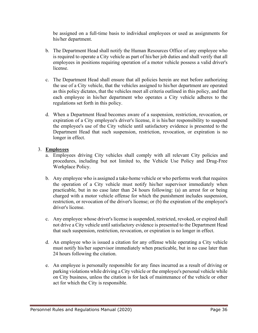be assigned on a full-time basis to individual employees or used as assignments for his/her department.

- b. The Department Head shall notify the Human Resources Office of any employee who is required to operate a City vehicle as part of his/her job duties and shall verify that all employees in positions requiring operation of a motor vehicle possess a valid driver's license.
- c. The Department Head shall ensure that all policies herein are met before authorizing the use of a City vehicle, that the vehicles assigned to his/her department are operated as this policy dictates, that the vehicles meet all criteria outlined in this policy, and that each employee in his/her department who operates a City vehicle adheres to the regulations set forth in this policy.
- d. When a Department Head becomes aware of a suspension, restriction, revocation, or expiration of a City employee's driver's license, it is his/her responsibility to suspend the employee's use of the City vehicle until satisfactory evidence is presented to the Department Head that such suspension, restriction, revocation, or expiration is no longer in effect.

# 3. **Employees**

- a. Employees driving City vehicles shall comply with all relevant City policies and procedures, including but not limited to, the Vehicle Use Policy and Drug-Free Workplace Policy.
- b. Any employee who is assigned a take-home vehicle or who performs work that requires the operation of a City vehicle must notify his/her supervisor immediately when practicable, but in no case later than 24 hours following: (a) an arrest for or being charged with a motor vehicle offense for which the punishment includes suspension, restriction, or revocation of the driver's license; or (b) the expiration of the employee's driver's license.
- c. Any employee whose driver's license is suspended, restricted, revoked, or expired shall not drive a City vehicle until satisfactory evidence is presented to the Department Head that such suspension, restriction, revocation, or expiration is no longer in effect.
- d. An employee who is issued a citation for any offense while operating a City vehicle must notify his/her supervisor immediately when practicable, but in no case later than 24 hours following the citation.
- e. An employee is personally responsible for any fines incurred as a result of driving or parking violations while driving a City vehicle or the employee's personal vehicle while on City business, unless the citation is for lack of maintenance of the vehicle or other act for which the City is responsible.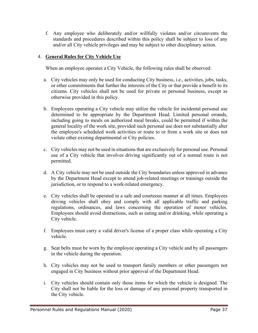f. Any employee who deliberately and/or willfully violates and/or circumvents the standards and procedures described within this policy shall be subject to loss of any and/or all City vehicle privileges and may be subject to other disciplinary action.

# 4. **General Rules for City Vehicle Use**

When an employee operates a City Vehicle, the following rules shall be observed:

- a. City vehicles may only be used for conducting City business, i.e., activities, jobs, tasks, or other commitments that further the interests of the City or that provide a benefit to its citizens. City vehicles shall not be used for private or personal business, except as otherwise provided in this policy.
- b. Employees operating a City vehicle may utilize the vehicle for incidental personal use determined to be appropriate by the Department Head. Limited personal errands, including going to meals on authorized meal breaks, could be permitted if within the general locality of the work site, provided such personal use does not substantially alter the employee's scheduled work activities or route to or from a work site or does not violate other existing departmental or City policies.
- c. City vehicles may not be used in situations that are exclusively for personal use. Personal use of a City vehicle that involves driving significantly out of a normal route is not permitted.
- d. A City vehicle may not be used outside the City boundaries unless approved in advance by the Department Head except to attend job-related meetings or trainings outside the jurisdiction, or to respond to a work-related emergency.
- e. City vehicles shall be operated in a safe and courteous manner at all times. Employees driving vehicles shall obey and comply with all applicable traffic and parking regulations, ordinances, and laws concerning the operation of motor vehicles. Employees should avoid distractions, such as eating and/or drinking, while operating a City vehicle.
- f. Employees must carry a valid driver's license of a proper class while operating a City vehicle.
- g. Seat belts must be worn by the employee operating a City vehicle and by all passengers in the vehicle during the operation.
- h. City vehicles may not be used to transport family members or other passengers not engaged in City business without prior approval of the Department Head.
- i. City vehicles should contain only those items for which the vehicle is designed. The City shall not be liable for the loss or damage of any personal property transported in the City vehicle.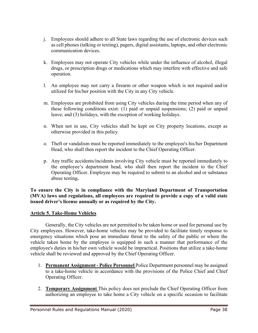- j. Employees should adhere to all State laws regarding the use of electronic devices such as cell phones (talking or texting), pagers, digital assistants, laptops, and other electronic communication devices.
- k. Employees may not operate City vehicles while under the influence of alcohol, illegal drugs, or prescription drugs or medications which may interfere with effective and safe operation.
- l. An employee may not carry a firearm or other weapon which is not required and/or utilized for his/her position with the City in any City vehicle.
- m. Employees are prohibited from using City vehicles during the time period when any of these following conditions exist: (1) paid or unpaid suspensions; (2) paid or unpaid leave; and (3) holidays, with the exception of working holidays.
- n. When not in use, City vehicles shall be kept on City property locations, except as otherwise provided in this policy.
- o. Theft or vandalism must be reported immediately to the employee's his/her Department Head, who shall then report the incident to the Chief Operating Officer.
- p. Any traffic accidents/incidents involving City vehicle must be reported immediately to the employee's department head, who shall then report the incident to the Chief Operating Officer. Employee may be required to submit to an alcohol and or substance abuse testing**.**

**To ensure the City is in compliance with the Maryland Department of Transportation (MVA) laws and regulations, all employees are required to provide a copy of a valid state issued driver's license annually or as required by the City.** 

## **Article 5. Take-Home Vehicles**

Generally, the City vehicles are not permitted to be taken home or used for personal use by City employees. However, take-home vehicles may be provided to facilitate timely response to emergency situations which pose an immediate threat to the safety of the public or where the vehicle taken home by the employee is equipped in such a manner that performance of the employee's duties in his/her own vehicle would be impractical. Positions that utilize a take-home vehicle shall be reviewed and approved by the Chief Operating Officer.

- 1. **Permanent Assignment - Police Personnel** Police Department personnel may be assigned to a take-home vehicle in accordance with the provisions of the Police Chief and Chief Operating Officer.
- 2. **Temporary Assignment** This policy does not preclude the Chief Operating Officer from authorizing an employee to take home a City vehicle on a specific occasion to facilitate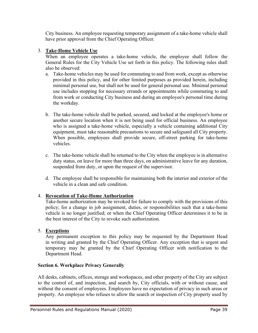City business. An employee requesting temporary assignment of a take-home vehicle shall have prior approval from the Chief Operating Officer.

## 3. **Take-Home Vehicle Use**

When an employee operates a take-home vehicle, the employee shall follow the General Rules for the City Vehicle Use set forth in this policy. The following rules shall also be observed:

- a. Take-home vehicles may be used for commuting to and from work, except as otherwise provided in this policy, and for other limited purposes as provided herein, including minimal personal use, but shall not be used for general personal use. Minimal personal use includes stopping for necessary errands or appointments while commuting to and from work or conducting City business and during an employee's personal time during the workday.
- b. The take-home vehicle shall be parked, secured, and locked at the employee's home or another secure location when it is not being used for official business. An employee who is assigned a take-home vehicle, especially a vehicle containing additional City equipment, must take reasonable precautions to secure and safeguard all City property. When possible, employees shall provide secure, off-street parking for take-home vehicles.
- c. The take-home vehicle shall be returned to the City when the employee is in alternative duty status, on leave for more than three days, on administrative leave for any duration, suspended from duty, or upon the request of the supervisor.
- d. The employee shall be responsible for maintaining both the interior and exterior of the vehicle in a clean and safe condition.

# 4. **Revocation of Take-Home Authorization**

Take-home authorization may be revoked for failure to comply with the provisions of this policy; for a change in job assignment, duties, or responsibilities such that a take-home vehicle is no longer justified; or when the Chief Operating Officer determines it to be in the best interest of the City to revoke such authorization.

## 5. **Exceptions**

Any permanent exception to this policy may be requested by the Department Head in writing and granted by the Chief Operating Officer. Any exception that is urgent and temporary may be granted by the Chief Operating Officer with notification to the Department Head.

## **Section 6. Workplace Privacy Generally**

All desks, cabinets, offices, storage and workspaces, and other property of the City are subject to the control of, and inspection, and search by, City officials, with or without cause, and without the consent of employees. Employees have no expectation of privacy in such areas or property. An employee who refuses to allow the search or inspection of City property used by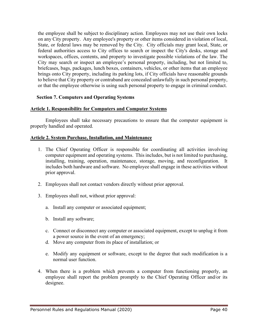the employee shall be subject to disciplinary action. Employees may not use their own locks on any City property. Any employee's property or other items considered in violation of local, State, or federal laws may be removed by the City. City officials may grant local, State, or federal authorities access to City offices to search or inspect the City's desks, storage and workspaces, offices, contents, and property to investigate possible violations of the law. The City may search or inspect an employee's personal property, including, but not limited to, briefcases, bags, packages, lunch boxes, containers, vehicles, or other items that an employee brings onto City property, including its parking lots, if City officials have reasonable grounds to believe that City property or contraband are concealed unlawfully in such personal property, or that the employee otherwise is using such personal property to engage in criminal conduct.

#### **Section 7. Computers and Operating Systems**

#### **Article 1. Responsibility for Computers and Computer Systems**

Employees shall take necessary precautions to ensure that the computer equipment is properly handled and operated.

#### **Article 2. System Purchase, Installation, and Maintenance**

- 1. The Chief Operating Officer is responsible for coordinating all activities involving computer equipment and operating systems. This includes, but is not limited to purchasing, installing, training, operation, maintenance, storage, moving, and reconfiguration. It includes both hardware and software. No employee shall engage in these activities without prior approval.
- 2. Employees shall not contact vendors directly without prior approval.
- 3. Employees shall not, without prior approval:
	- a. Install any computer or associated equipment;
	- b. Install any software;
	- c. Connect or disconnect any computer or associated equipment, except to unplug it from a power source in the event of an emergency;
	- d. Move any computer from its place of installation; or
	- e. Modify any equipment or software, except to the degree that such modification is a normal user function.
- 4. When there is a problem which prevents a computer from functioning properly, an employee shall report the problem promptly to the Chief Operating Officer and/or its designee.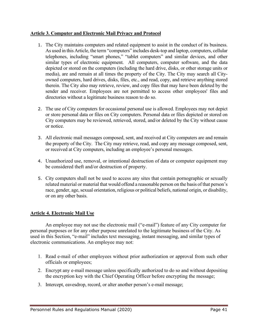## **Article 3. Computer and Electronic Mail Privacy and Protocol**

- 1. The City maintains computers and related equipment to assist in the conduct of its business. As used in this Article, the term "computers" includes desk-top and laptop, computers, cellular telephones, including "smart phones," "tablet computers" and similar devices, and other similar types of electronic equipment. All computers, computer software, and the data depicted or stored on the computers (including the hard drive, disks, or other storage units or media), are and remain at all times the property of the City. The City may search all Cityowned computers, hard drives, disks, files, etc., and read, copy, and retrieve anything stored therein. The City also may retrieve, review, and copy files that may have been deleted by the sender and receiver. Employees are not permitted to access other employees' files and directories without a legitimate business reason to do so.
- 2. The use of City computers for occasional personal use is allowed. Employees may not depict or store personal data or files on City computers. Personal data or files depicted or stored on City computers may be reviewed, retrieved, stored, and/or deleted by the City without cause or notice.
- 3. All electronic mail messages composed, sent, and received at City computers are and remain the property of the City. The City may retrieve, read, and copy any message composed, sent, or received at City computers, including an employee's personal messages.
- 4. Unauthorized use, removal, or intentional destruction of data or computer equipment may be considered theft and/or destruction of property.
- 5. City computers shall not be used to access any sites that contain pornographic or sexually related material or material that would offend a reasonable person on the basis of that person's race, gender, age, sexual orientation, religious or political beliefs, national origin, or disability, or on any other basis.

# **Article 4. Electronic Mail Use**

An employee may not use the electronic mail ("e-mail") feature of any City computer for personal purposes or for any other purpose unrelated to the legitimate business of the City. As used in this Section, "e-mail" includes text messaging, instant messaging, and similar types of electronic communications. An employee may not:

- 1. Read e-mail of other employees without prior authorization or approval from such other officials or employees;
- 2. Encrypt any e-mail message unless specifically authorized to do so and without depositing the encryption key with the Chief Operating Officer before encrypting the message;
- 3. Intercept, eavesdrop, record, or alter another person's e-mail message;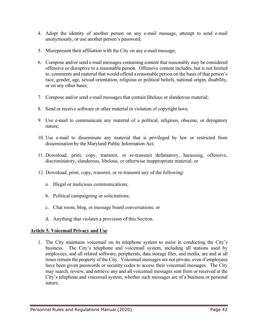- 4. Adopt the identity of another person on any e-mail message, attempt to send e-mail anonymously, or use another person's password;
- 5. Misrepresent their affiliation with the City on any e-mail message;
- 6. Compose and/or send e-mail messages containing content that reasonably may be considered offensive or disruptive to a reasonable person. Offensive content includes, but is not limited to, comments and material that would offend a reasonable person on the basis of that person's race, gender, age, sexual orientation, religious or political beliefs, national origin, disability, or on any other basis;
- 7. Compose and/or send e-mail messages that contain libelous or slanderous material;
- 8. Send or receive software or other material in violation of copyright laws;
- 9. Use e-mail to communicate any material of a political, religious, obscene, or derogatory nature;
- 10. Use e-mail to disseminate any material that is privileged by law or restricted from dissemination by the Maryland Public Information Act;
- 11. Download, print, copy, transmit, or re-transmit defamatory, harassing, offensive, discriminatory, slanderous, libelous, or otherwise inappropriate material; or
- 12. Download, print, copy, transmit, or re-transmit any of the following:
	- a. Illegal or malicious communications;
	- b. Political campaigning or solicitations;
	- c. Chat room, blog, or message board conversations; or
	- d. Anything that violates a provision of this Section.

## **Article 5. Voicemail Privacy and Use**

1. The City maintains voicemail on its telephone system to assist in conducting the City's business. The City's telephone and voicemail system, including all stations used by employees, and all related software, peripherals, data storage files, and media, are and at all times remain the property of the City. Voicemail messages are not private, even if employees have been given passwords or security codes to access their voicemail messages. The City may search, review, and retrieve any and all voicemail messages sent from or received at the City's telephone and voicemail system, whether such messages are of a business or personal nature.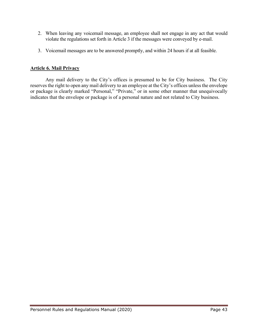- 2. When leaving any voicemail message, an employee shall not engage in any act that would violate the regulations set forth in Article 3 if the messages were conveyed by e-mail.
- 3. Voicemail messages are to be answered promptly, and within 24 hours if at all feasible.

## **Article 6. Mail Privacy**

Any mail delivery to the City's offices is presumed to be for City business. The City reserves the right to open any mail delivery to an employee at the City's offices unless the envelope or package is clearly marked "Personal," "Private," or in some other manner that unequivocally indicates that the envelope or package is of a personal nature and not related to City business.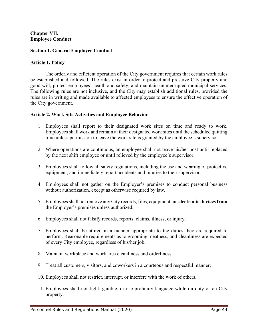#### **Chapter VII. Employee Conduct**

#### **Section 1. General Employee Conduct**

#### **Article 1. Policy**

The orderly and efficient operation of the City government requires that certain work rules be established and followed. The rules exist in order to protect and preserve City property and good will, protect employees' health and safety, and maintain uninterrupted municipal services. The following rules are not inclusive, and the City may establish additional rules, provided the rules are in writing and made available to affected employees to ensure the effective operation of the City government.

#### **Article 2. Work Site Activities and Employee Behavior**

- 1. Employees shall report to their designated work sites on time and ready to work. Employees shall work and remain at their designated work sites until the scheduled quitting time unless permission to leave the work site is granted by the employee's supervisor.
- 2. Where operations are continuous, an employee shall not leave his/her post until replaced by the next shift employee or until relieved by the employee's supervisor.
- 3. Employees shall follow all safety regulations, including the use and wearing of protective equipment, and immediately report accidents and injuries to their supervisor.
- 4. Employees shall not gather on the Employer's premises to conduct personal business without authorization, except as otherwise required by law.
- 5. Employees shall not remove any City records, files, equipment, **or electronic devices from** the Employer's premises unless authorized.
- 6. Employees shall not falsify records, reports, claims, illness, or injury.
- 7. Employees shall be attired in a manner appropriate to the duties they are required to perform. Reasonable requirements as to grooming, neatness, and cleanliness are expected of every City employee, regardless of his/her job.
- 8. Maintain workplace and work area cleanliness and orderliness;
- 9. Treat all customers, visitors, and coworkers in a courteous and respectful manner;
- 10. Employees shall not restrict, interrupt, or interfere with the work of others.
- 11. Employees shall not fight, gamble, or use profanity language while on duty or on City property.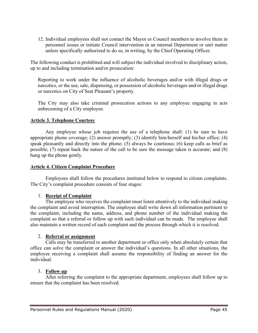12. Individual employees shall not contact the Mayor or Council members to involve them in personnel issues or initiate Council intervention in an internal Department or unit matter unless specifically authorized to do so, in writing, by the Chief Operating Officer.

The following conduct is prohibited and will subject the individual involved to disciplinary action, up to and including termination and/or prosecution:

Reporting to work under the influence of alcoholic beverages and/or with illegal drugs or narcotics, or the use, sale, dispensing, or possession of alcoholic beverages and/or illegal drugs or narcotics on City of Seat Pleasant's property.

The City may also take criminal prosecution actions to any employee engaging in acts unbecoming of a City employee.

## **Article 3. Telephone Courtesy**

Any employee whose job requires the use of a telephone shall: (1) be sure to have appropriate phone coverage; (2) answer promptly; (3) identify him/herself and his/her office; (4) speak pleasantly and directly into the phone; (5) always be courteous; (6) keep calls as brief as possible; (7) repeat back the nature of the call to be sure the message taken is accurate; and (8) hang up the phone gently.

#### **Article 4. Citizen Complaint Procedure**

Employees shall follow the procedures instituted below to respond to citizen complaints. The City's complaint procedure consists of four stages:

#### 1. **Receipt of Complaint**

The employee who receives the complaint must listen attentively to the individual making the complaint and avoid interruption. The employee shall write down all information pertinent to the complaint, including the name, address, and phone number of the individual making the complaint so that a referral or follow up with such individual can be made. The employee shall also maintain a written record of each complaint and the process through which it is resolved.

#### 2. **Referral or assignment**

Calls may be transferred to another department or office only when absolutely certain that office can solve the complaint or answer the individual's questions. In all other situations, the employee receiving a complaint shall assume the responsibility of finding an answer for the individual.

#### 3. **Follow up**

After referring the complaint to the appropriate department, employees shall follow up to ensure that the complaint has been resolved.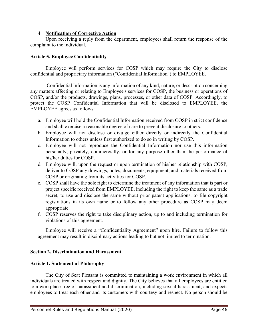## 4. **Notification of Corrective Action**

Upon receiving a reply from the department, employees shall return the response of the complaint to the individual.

## **Article 5. Employee Confidentiality**

Employee will perform services for COSP which may require the City to disclose confidential and proprietary information ("Confidential Information") to EMPLOYEE.

Confidential Information is any information of any kind, nature, or description concerning any matters affecting or relating to Employee's services for COSP, the business or operations of COSP, and/or the products, drawings, plans, processes, or other data of COSP. Accordingly, to protect the COSP Confidential Information that will be disclosed to EMPLOYEE, the EMPLOYEE agrees as follows:

- a. Employee will hold the Confidential Information received from COSP in strict confidence and shall exercise a reasonable degree of care to prevent disclosure to others.
- b. Employee will not disclose or divulge either directly or indirectly the Confidential Information to others unless first authorized to do so in writing by COSP.
- c. Employee will not reproduce the Confidential Information nor use this information personally, privately, commercially, or for any purpose other than the performance of his/her duties for COSP.
- d. Employee will, upon the request or upon termination of his/her relationship with COSP, deliver to COSP any drawings, notes, documents, equipment, and materials received from COSP or originating from its activities for COSP.
- e. COSP shall have the sole right to determine the treatment of any information that is part or project specific received from EMPLOYEE, including the right to keep the same as a trade secret, to use and disclose the same without prior patent applications, to file copyright registrations in its own name or to follow any other procedure as COSP may deem appropriate.
- f. COSP reserves the right to take disciplinary action, up to and including termination for violations of this agreement.

Employee will receive a "Confidentiality Agreement" upon hire. Failure to follow this agreement may result in disciplinary actions leading to but not limited to termination.

# **Section 2. Discrimination and Harassment**

## **Article 1. Statement of Philosophy**

The City of Seat Pleasant is committed to maintaining a work environment in which all individuals are treated with respect and dignity. The City believes that all employees are entitled to a workplace free of harassment and discrimination, including sexual harassment, and expects employees to treat each other and its customers with courtesy and respect. No person should be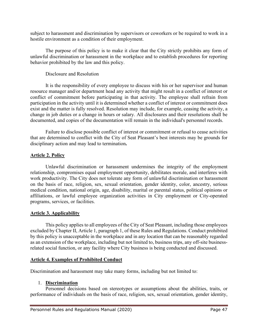subject to harassment and discrimination by supervisors or coworkers or be required to work in a hostile environment as a condition of their employment.

The purpose of this policy is to make it clear that the City strictly prohibits any form of unlawful discrimination or harassment in the workplace and to establish procedures for reporting behavior prohibited by the law and this policy.

## Disclosure and Resolution

It is the responsibility of every employee to discuss with his or her supervisor and human resource manager and/or department head any activity that might result in a conflict of interest or conflict of commitment before participating in that activity. The employee shall refrain from participation in the activity until it is determined whether a conflict of interest or commitment does exist and the matter is fully resolved. Resolution may include, for example, ceasing the activity, a change in job duties or a change in hours or salary. All disclosures and their resolutions shall be documented, and copies of the documentation will remain in the individual's personnel records.

Failure to disclose possible conflict of interest or commitment or refusal to cease activities that are determined to conflict with the City of Seat Pleasant's best interests may be grounds for disciplinary action and may lead to termination**.**

# **Article 2. Policy**

Unlawful discrimination or harassment undermines the integrity of the employment relationship, compromises equal employment opportunity, debilitates morale, and interferes with work productivity. The City does not tolerate any form of unlawful discrimination or harassment on the basis of race, religion, sex, sexual orientation, gender identity, color, ancestry, serious medical condition, national origin, age, disability, marital or parental status, political opinions or affiliations, or lawful employee organization activities in City employment or City-operated programs, services, or facilities.

## **Article 3. Applicability**

This policy applies to all employees of the City of Seat Pleasant, including those employees excluded by Chapter II, Article 1, paragraph 1, of these Rules and Regulations. Conduct prohibited by this policy is unacceptable in the workplace and in any location that can be reasonably regarded as an extension of the workplace, including but not limited to, business trips, any off-site businessrelated social function, or any facility where City business is being conducted and discussed.

## **Article 4. Examples of Prohibited Conduct**

Discrimination and harassment may take many forms, including but not limited to:

## 1. **Discrimination**

Personnel decisions based on stereotypes or assumptions about the abilities, traits, or performance of individuals on the basis of race, religion, sex, sexual orientation, gender identity,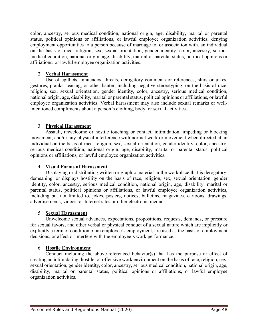color, ancestry, serious medical condition, national origin, age, disability, marital or parental status, political opinions or affiliations, or lawful employee organization activities; denying employment opportunities to a person because of marriage to, or association with, an individual on the basis of race, religion, sex, sexual orientation, gender identity, color, ancestry, serious medical condition, national origin, age, disability, marital or parental status, political opinions or affiliations, or lawful employee organization activities.

# 2. **Verbal Harassment**

Use of epithets, innuendos, threats, derogatory comments or references, slurs or jokes, gestures, pranks, teasing, or other banter, including negative stereotyping, on the basis of race, religion, sex, sexual orientation, gender identity, color, ancestry, serious medical condition, national origin, age, disability, marital or parental status, political opinions or affiliations, or lawful employee organization activities. Verbal harassment may also include sexual remarks or wellintentioned compliments about a person's clothing, body, or sexual activities.

# 3. **Physical Harassment**

Assault, unwelcome or hostile touching or contact, intimidation, impeding or blocking movement, and/or any physical interference with normal work or movement when directed at an individual on the basis of race, religion, sex, sexual orientation, gender identity, color, ancestry, serious medical condition, national origin, age, disability, marital or parental status, political opinions or affiliations, or lawful employee organization activities.

## 4. **Visual Forms of Harassment**

Displaying or distributing written or graphic material in the workplace that is derogatory, demeaning, or displays hostility on the basis of race, religion, sex, sexual orientation, gender identity, color, ancestry, serious medical condition, national origin, age, disability, marital or parental status, political opinions or affiliations, or lawful employee organization activities, including but not limited to, jokes, posters, notices, bulletins, magazines, cartoons, drawings, advertisements, videos, or Internet sites or other electronic media.

## 5. **Sexual Harassment**

Unwelcome sexual advances, expectations, propositions, requests, demands, or pressure for sexual favors, and other verbal or physical conduct of a sexual nature which are implicitly or explicitly a term or condition of an employee's employment, are used as the basis of employment decisions, or affect or interfere with the employee's work performance.

## 6. **Hostile Environment**

Conduct including the above-referenced behavior(s) that has the purpose or effect of creating an intimidating, hostile, or offensive work environment on the basis of race, religion, sex, sexual orientation, gender identity, color, ancestry, serious medical condition, national origin, age, disability, marital or parental status, political opinions or affiliations, or lawful employee organization activities.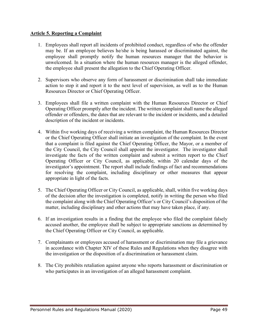## **Article 5. Reporting a Complaint**

- 1. Employees shall report all incidents of prohibited conduct, regardless of who the offender may be. If an employee believes he/she is being harassed or discriminated against, the employee shall promptly notify the human resources manager that the behavior is unwelcomed. In a situation where the human resources manager is the alleged offender, the employee shall present the allegation to the Chief Operating Officer.
- 2. Supervisors who observe any form of harassment or discrimination shall take immediate action to stop it and report it to the next level of supervision, as well as to the Human Resources Director or Chief Operating Officer.
- 3. Employees shall file a written complaint with the Human Resources Director or Chief Operating Officer promptly after the incident. The written complaint shall name the alleged offender or offenders, the dates that are relevant to the incident or incidents, and a detailed description of the incident or incidents.
- 4. Within five working days of receiving a written complaint, the Human Resources Director or the Chief Operating Officer shall initiate an investigation of the complaint. In the event that a complaint is filed against the Chief Operating Officer, the Mayor, or a member of the City Council, the City Council shall appoint the investigator. The investigator shall investigate the facts of the written complaint and submit a written report to the Chief Operating Officer or City Council, as applicable, within 20 calendar days of the investigator's appointment. The report shall include findings of fact and recommendations for resolving the complaint, including disciplinary or other measures that appear appropriate in light of the facts.
- 5. The Chief Operating Officer or City Council, as applicable, shall, within five working days of the decision after the investigation is completed, notify in writing the person who filed the complaint along with the Chief Operating Officer's or City Council's disposition of the matter, including disciplinary and other actions that may have taken place, if any.
- 6. If an investigation results in a finding that the employee who filed the complaint falsely accused another, the employee shall be subject to appropriate sanctions as determined by the Chief Operating Officer or City Council, as applicable.
- 7. Complainants or employees accused of harassment or discrimination may file a grievance in accordance with Chapter XIV of these Rules and Regulations when they disagree with the investigation or the disposition of a discrimination or harassment claim.
- 8. The City prohibits retaliation against anyone who reports harassment or discrimination or who participates in an investigation of an alleged harassment complaint.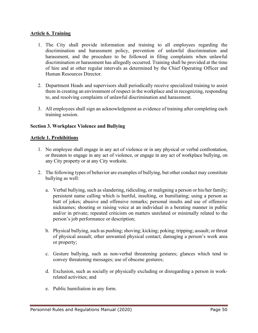## **Article 6. Training**

- 1. The City shall provide information and training to all employees regarding the discrimination and harassment policy, prevention of unlawful discrimination and harassment, and the procedure to be followed in filing complaints when unlawful discrimination or harassment has allegedly occurred. Training shall be provided at the time of hire and at other regular intervals as determined by the Chief Operating Officer and Human Resources Director.
- 2. Department Heads and supervisors shall periodically receive specialized training to assist them in creating an environment of respect in the workplace and in recognizing, responding to, and resolving complaints of unlawful discrimination and harassment.
- 3. All employees shall sign an acknowledgment as evidence of training after completing each training session.

# **Section 3. Workplace Violence and Bullying**

## **Article 1. Prohibitions**

- 1. No employee shall engage in any act of violence or in any physical or verbal confrontation, or threaten to engage in any act of violence, or engage in any act of workplace bullying, on any City property or at any City worksite.
- 2. The following types of behavior are examples of bullying, but other conduct may constitute bullying as well:
	- a. Verbal bullying, such as slandering, ridiculing, or maligning a person or his/her family; persistent name calling which is hurtful, insulting, or humiliating; using a person as butt of jokes; abusive and offensive remarks; personal insults and use of offensive nicknames; shouting or raising voice at an individual in a berating manner in public and/or in private; repeated criticism on matters unrelated or minimally related to the person's job performance or description;
	- b. Physical bullying, such as pushing; shoving; kicking; poking; tripping; assault; or threat of physical assault; other unwanted physical contact; damaging a person's work area or property;
	- c. Gesture bullying, such as non-verbal threatening gestures; glances which tend to convey threatening messages; use of obscene gestures;
	- d. Exclusion, such as socially or physically excluding or disregarding a person in workrelated activities; and
	- e. Public humiliation in any form.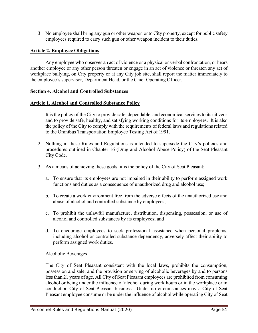3. No employee shall bring any gun or other weapon onto City property, except for public safety employees required to carry such gun or other weapon incident to their duties.

## **Article 2. Employee Obligations**

Any employee who observes an act of violence or a physical or verbal confrontation, or hears another employee or any other person threaten or engage in an act of violence or threaten any act of workplace bullying, on City property or at any City job site, shall report the matter immediately to the employee's supervisor, Department Head, or the Chief Operating Officer.

#### **Section 4. Alcohol and Controlled Substances**

#### **Article 1. Alcohol and Controlled Substance Policy**

- 1. It is the policy of the City to provide safe, dependable, and economical services to its citizens and to provide safe, healthy, and satisfying working conditions for its employees. It is also the policy of the City to comply with the requirements of federal laws and regulations related to the Omnibus Transportation Employee Testing Act of 1991.
- 2. Nothing in these Rules and Regulations is intended to supersede the City's policies and procedures outlined in Chapter 16 (Drug and Alcohol Abuse Policy) of the Seat Pleasant City Code.
- 3. As a means of achieving these goals, it is the policy of the City of Seat Pleasant:
	- a. To ensure that its employees are not impaired in their ability to perform assigned work functions and duties as a consequence of unauthorized drug and alcohol use;
	- b. To create a work environment free from the adverse effects of the unauthorized use and abuse of alcohol and controlled substance by employees;
	- c. To prohibit the unlawful manufacture, distribution, dispensing, possession, or use of alcohol and controlled substances by its employees; and
	- d. To encourage employees to seek professional assistance when personal problems, including alcohol or controlled substance dependency, adversely affect their ability to perform assigned work duties.

## Alcoholic Beverages

The City of Seat Pleasant consistent with the local laws, prohibits the consumption, possession and sale, and the provision or serving of alcoholic beverages by and to persons less than 21 years of age. All City of Seat Pleasant employees are prohibited from consuming alcohol or being under the influence of alcohol during work hours or in the workplace or in conduction City of Seat Pleasant business. Under no circumstances may a City of Seat Pleasant employee consume or be under the influence of alcohol while operating City of Seat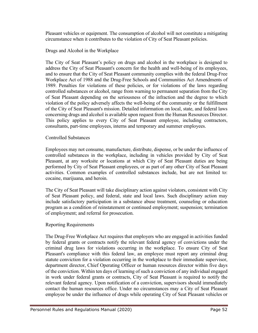Pleasant vehicles or equipment. The consumption of alcohol will not constitute a mitigating circumstance when it contributes to the violation of City of Seat Pleasant policies.

#### Drugs and Alcohol in the Workplace

The City of Seat Pleasant's policy on drugs and alcohol in the workplace is designed to address the City of Seat Pleasant's concern for the health and well-being of its employees, and to ensure that the City of Seat Pleasant community complies with the federal Drug-Free Workplace Act of 1988 and the Drug-Free Schools and Communities Act Amendments of 1989. Penalties for violations of these policies, or for violations of the laws regarding controlled substances or alcohol, range from warning to permanent separation from the City of Seat Pleasant depending on the seriousness of the infraction and the degree to which violation of the policy adversely affects the well-being of the community or the fulfillment of the City of Seat Pleasant's mission. Detailed information on local, state, and federal laws concerning drugs and alcohol is available upon request from the Human Resources Director. This policy applies to every City of Seat Pleasant employee, including contractors, consultants, part-time employees, interns and temporary and summer employees.

#### Controlled Substances

Employees may not consume, manufacture, distribute, dispense, or be under the influence of controlled substances in the workplace, including in vehicles provided by City of Seat Pleasant, at any worksite or locations at which City of Seat Pleasant duties are being performed by City of Seat Pleasant employees, or as part of any other City of Seat Pleasant activities. Common examples of controlled substances include, but are not limited to: cocaine, marijuana, and heroin.

The City of Seat Pleasant will take disciplinary action against violators, consistent with City of Seat Pleasant policy, and federal, state and local laws. Such disciplinary action may include satisfactory participation in a substance abuse treatment, counseling or education program as a condition of reinstatement or continued employment; suspension; termination of employment; and referral for prosecution.

## Reporting Requirements

The Drug-Free Workplace Act requires that employers who are engaged in activities funded by federal grants or contracts notify the relevant federal agency of convictions under the criminal drug laws for violations occurring in the workplace. To ensure City of Seat Pleasant's compliance with this federal law, an employee must report any criminal drug statute conviction for a violation occurring in the workplace to their immediate supervisor, department director, Chief Operating Officer or human resources director within five days of the conviction. Within ten days of learning of such a conviction of any individual engaged in work under federal grants or contracts, City of Seat Pleasant is required to notify the relevant federal agency. Upon notification of a conviction, supervisors should immediately contact the human resources office. Under no circumstances may a City of Seat Pleasant employee be under the influence of drugs while operating City of Seat Pleasant vehicles or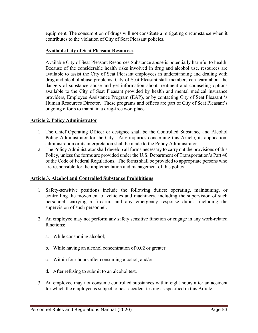equipment. The consumption of drugs will not constitute a mitigating circumstance when it contributes to the violation of City of Seat Pleasant policies.

#### **Available City of Seat Pleasant Resources**

Available City of Seat Pleasant Resources Substance abuse is potentially harmful to health. Because of the considerable health risks involved in drug and alcohol use, resources are available to assist the City of Seat Pleasant employees in understanding and dealing with drug and alcohol abuse problems. City of Seat Pleasant staff members can learn about the dangers of substance abuse and get information about treatment and counseling options available to the City of Seat Pleasant provided by health and mental medical insurance providers, Employee Assistance Program (EAP), or by contacting City of Seat Pleasant 's Human Resources Director. These programs and offices are part of City of Seat Pleasant's ongoing efforts to maintain a drug-free workplace.

#### **Article 2. Policy Administrator**

- 1. The Chief Operating Officer or designee shall be the Controlled Substance and Alcohol Policy Administrator for the City. Any inquiries concerning this Article, its application, administration or its interpretation shall be made to the Policy Administrator.
- 2. The Policy Administrator shall develop all forms necessary to carry out the provisions of this Policy, unless the forms are provided under the U.S. Department of Transportation's Part 40 of the Code of Federal Regulations. The forms shall be provided to appropriate persons who are responsible for the implementation and management of this policy.

## **Article 3. Alcohol and Controlled Substance Prohibitions**

- 1. Safety-sensitive positions include the following duties: operating, maintaining, or controlling the movement of vehicles and machinery, including the supervision of such personnel, carrying a firearm, and any emergency response duties, including the supervision of such personnel.
- 2. An employee may not perform any safety sensitive function or engage in any work-related functions:
	- a. While consuming alcohol;
	- b. While having an alcohol concentration of 0.02 or greater;
	- c. Within four hours after consuming alcohol; and/or
	- d. After refusing to submit to an alcohol test.
- 3. An employee may not consume controlled substances within eight hours after an accident for which the employee is subject to post-accident testing as specified in this Article.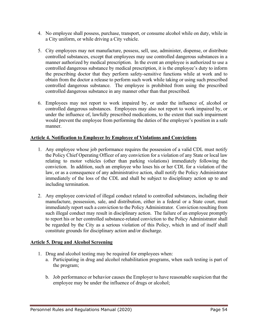- 4. No employee shall possess, purchase, transport, or consume alcohol while on duty, while in a City uniform, or while driving a City vehicle.
- 5. City employees may not manufacture, possess, sell, use, administer, dispense, or distribute controlled substances, except that employees may use controlled dangerous substances in a manner authorized by medical prescription. In the event an employee is authorized to use a controlled dangerous substance by medical prescription, it is the employee's duty to inform the prescribing doctor that they perform safety-sensitive functions while at work and to obtain from the doctor a release to perform such work while taking or using such prescribed controlled dangerous substance. The employee is prohibited from using the prescribed controlled dangerous substance in any manner other than that prescribed.
- 6. Employees may not report to work impaired by, or under the influence of, alcohol or controlled dangerous substances. Employees may also not report to work impaired by, or under the influence of, lawfully prescribed medications, to the extent that such impairment would prevent the employee from performing the duties of the employee's position in a safe manner.

## **Article 4. Notification to Employer by Employee of Violations and Convictions**

- 1. Any employee whose job performance requires the possession of a valid CDL must notify the Policy Chief Operating Officer of any conviction for a violation of any State or local law relating to motor vehicles (other than parking violations) immediately following the conviction. In addition, such an employee who loses his or her CDL for a violation of the law, or as a consequence of any administrative action, shall notify the Policy Administrator immediately of the loss of the CDL and shall be subject to disciplinary action up to and including termination.
- 2. Any employee convicted of illegal conduct related to controlled substances, including their manufacture, possession, sale, and distribution, either in a federal or a State court, must immediately report such a conviction to the Policy Administrator. Conviction resulting from such illegal conduct may result in disciplinary action. The failure of an employee promptly to report his or her controlled substance-related conviction to the Policy Administrator shall be regarded by the City as a serious violation of this Policy, which in and of itself shall constitute grounds for disciplinary action and/or discharge.

## **Article 5. Drug and Alcohol Screening**

- 1. Drug and alcohol testing may be required for employees when:
	- a. Participating in drug and alcohol rehabilitation programs, when such testing is part of the program;
	- b. Job performance or behavior causes the Employer to have reasonable suspicion that the employee may be under the influence of drugs or alcohol;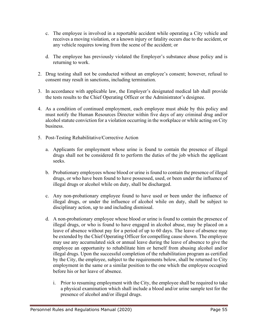- c. The employee is involved in a reportable accident while operating a City vehicle and receives a moving violation, or a known injury or fatality occurs due to the accident, or any vehicle requires towing from the scene of the accident; or
- d. The employee has previously violated the Employer's substance abuse policy and is returning to work.
- 2. Drug testing shall not be conducted without an employee's consent; however, refusal to consent may result in sanctions, including termination.
- 3. In accordance with applicable law, the Employer's designated medical lab shall provide the tests results to the Chief Operating Officer or the Administrator's designee.
- 4. As a condition of continued employment, each employee must abide by this policy and must notify the Human Resources Director within five days of any criminal drug and/or alcohol statute conviction for a violation occurring in the workplace or while acting on City business.
- 5. Post-Testing Rehabilitative/Corrective Action
	- a. Applicants for employment whose urine is found to contain the presence of illegal drugs shall not be considered fit to perform the duties of the job which the applicant seeks.
	- b. Probationary employees whose blood or urine is found to contain the presence of illegal drugs, or who have been found to have possessed, used, or been under the influence of illegal drugs or alcohol while on duty, shall be discharged.
	- c. Any non-probationary employee found to have used or been under the influence of illegal drugs, or under the influence of alcohol while on duty, shall be subject to disciplinary action, up to and including dismissal.
	- d. A non-probationary employee whose blood or urine is found to contain the presence of illegal drugs, or who is found to have engaged in alcohol abuse, may be placed on a leave of absence without pay for a period of up to 60 days. The leave of absence may be extended by the Chief Operating Officer for compelling cause shown. The employee may use any accumulated sick or annual leave during the leave of absence to give the employee an opportunity to rehabilitate him or herself from abusing alcohol and/or illegal drugs. Upon the successful completion of the rehabilitation program as certified by the City, the employee, subject to the requirements below, shall be returned to City employment in the same or a similar position to the one which the employee occupied before his or her leave of absence.
		- i. Prior to resuming employment with the City, the employee shall be required to take a physical examination which shall include a blood and/or urine sample test for the presence of alcohol and/or illegal drugs.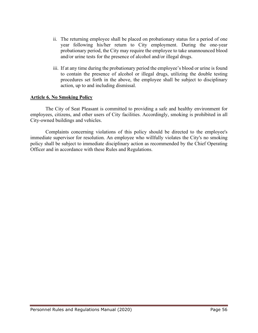- ii. The returning employee shall be placed on probationary status for a period of one year following his/her return to City employment. During the one-year probationary period, the City may require the employee to take unannounced blood and/or urine tests for the presence of alcohol and/or illegal drugs.
- iii. If at any time during the probationary period the employee's blood or urine is found to contain the presence of alcohol or illegal drugs, utilizing the double testing procedures set forth in the above, the employee shall be subject to disciplinary action, up to and including dismissal.

## **Article 6. No Smoking Policy**

The City of Seat Pleasant is committed to providing a safe and healthy environment for employees, citizens, and other users of City facilities. Accordingly, smoking is prohibited in all City-owned buildings and vehicles.

Complaints concerning violations of this policy should be directed to the employee's immediate supervisor for resolution. An employee who willfully violates the City's no smoking policy shall be subject to immediate disciplinary action as recommended by the Chief Operating Officer and in accordance with these Rules and Regulations.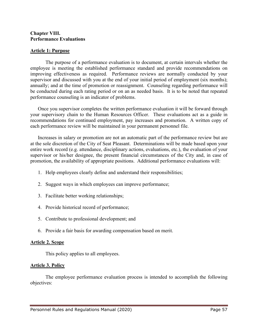#### **Chapter VIII. Performance Evaluations**

#### **Article 1: Purpose**

The purpose of a performance evaluation is to document, at certain intervals whether the employee is meeting the established performance standard and provide recommendations on improving effectiveness as required. Performance reviews are normally conducted by your supervisor and discussed with you at the end of your initial period of employment (six months); annually; and at the time of promotion or reassignment. Counseling regarding performance will be conducted during each rating period or on an as needed basis. It is to be noted that repeated performance counseling is an indicator of problems.

Once you supervisor completes the written performance evaluation it will be forward through your supervisory chain to the Human Resources Officer. These evaluations act as a guide in recommendations for continued employment, pay increases and promotion. A written copy of each performance review will be maintained in your permanent personnel file.

Increases in salary or promotion are not an automatic part of the performance review but are at the sole discretion of the City of Seat Pleasant. Determinations will be made based upon your entire work record (e.g. attendance, disciplinary actions, evaluations, etc.), the evaluation of your supervisor or his/her designee, the present financial circumstances of the City and, in case of promotion, the availability of appropriate positions. Additional performance evaluations will:

- 1. Help employees clearly define and understand their responsibilities;
- 2. Suggest ways in which employees can improve performance;
- 3. Facilitate better working relationships;
- 4. Provide historical record of performance;
- 5. Contribute to professional development; and
- 6. Provide a fair basis for awarding compensation based on merit.

## **Article 2. Scope**

This policy applies to all employees.

## **Article 3. Policy**

The employee performance evaluation process is intended to accomplish the following objectives: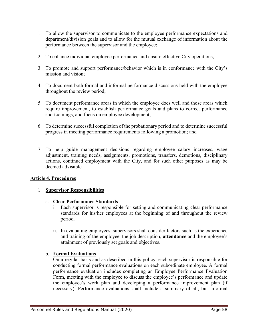- 1. To allow the supervisor to communicate to the employee performance expectations and department/division goals and to allow for the mutual exchange of information about the performance between the supervisor and the employee;
- 2. To enhance individual employee performance and ensure effective City operations;
- 3. To promote and support performance/behavior which is in conformance with the City's mission and vision;
- 4. To document both formal and informal performance discussions held with the employee throughout the review period;
- 5. To document performance areas in which the employee does well and those areas which require improvement, to establish performance goals and plans to correct performance shortcomings, and focus on employee development;
- 6. To determine successful completion of the probationary period and to determine successful progress in meeting performance requirements following a promotion; and
- 7. To help guide management decisions regarding employee salary increases, wage adjustment, training needs, assignments, promotions, transfers, demotions, disciplinary actions, continued employment with the City, and for such other purposes as may be deemed advisable.

## **Article 4. Procedures**

## 1. **Supervisor Responsibilities**

## a. **Clear Performance Standards**

- i. Each supervisor is responsible for setting and communicating clear performance standards for his/her employees at the beginning of and throughout the review period.
- ii. In evaluating employees, supervisors shall consider factors such as the experience and training of the employee, the job description, **attendance** and the employee's attainment of previously set goals and objectives.

## b. **Formal Evaluations**

On a regular basis and as described in this policy, each supervisor is responsible for conducting formal performance evaluations on each subordinate employee. A formal performance evaluation includes completing an Employee Performance Evaluation Form, meeting with the employee to discuss the employee's performance and update the employee's work plan and developing a performance improvement plan (if necessary). Performance evaluations shall include a summary of all, but informal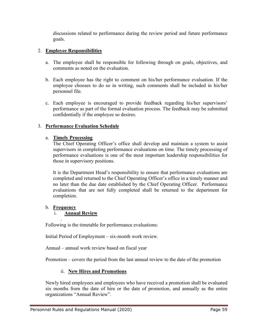discussions related to performance during the review period and future performance goals.

# 2. **Employee Responsibilities**

- a. The employee shall be responsible for following through on goals, objectives, and comments as noted on the evaluation.
- b. Each employee has the right to comment on his/her performance evaluation. If the employee chooses to do so in writing, such comments shall be included in his/her personnel file.
- c. Each employee is encouraged to provide feedback regarding his/her supervisors' performance as part of the formal evaluation process. The feedback may be submitted confidentially if the employee so desires.

# 3. **Performance Evaluation Schedule**

## a. **Timely Processing**

The Chief Operating Officer's office shall develop and maintain a system to assist supervisors in completing performance evaluations on time. The timely processing of performance evaluations is one of the most important leadership responsibilities for those in supervisory positions.

It is the Department Head's responsibility to ensure that performance evaluations are completed and returned to the Chief Operating Officer's office in a timely manner and no later than the due date established by the Chief Operating Officer. Performance evaluations that are not fully completed shall be returned to the department for completion.

## b. **Frequency**

## i. **Annual Review**

. Following is the timetable for performance evaluations:

Initial Period of Employment – six-month work review.

Annual – annual work review based on fiscal year

Promotion – covers the period from the last annual review to the date of the promotion

# ii. **New Hires and Promotions**

Newly hired employees and employees who have received a promotion shall be evaluated six months from the date of hire or the date of promotion, and annually as the entire organizations "Annual Review".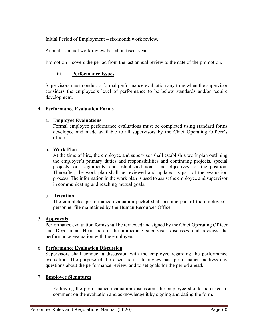Initial Period of Employment – six-month work review.

Annual – annual work review based on fiscal year.

Promotion – covers the period from the last annual review to the date of the promotion.

#### iii. **Performance Issues**

Supervisors must conduct a formal performance evaluation any time when the supervisor considers the employee's level of performance to be below standards and/or require development.

#### 4. **Performance Evaluation Forms**

#### a. **Employee Evaluations**

Formal employee performance evaluations must be completed using standard forms developed and made available to all supervisors by the Chief Operating Officer's office.

#### b. **Work Plan**

At the time of hire, the employee and supervisor shall establish a work plan outlining the employer's primary duties and responsibilities and continuing projects, special projects, or assignments, and established goals and objectives for the position. Thereafter, the work plan shall be reviewed and updated as part of the evaluation process. The information in the work plan is used to assist the employee and supervisor in communicating and reaching mutual goals.

#### c. **Retention**

The completed performance evaluation packet shall become part of the employee's personnel file maintained by the Human Resources Office.

#### 5. **Approvals**

Performance evaluation forms shall be reviewed and signed by the Chief Operating Officer and Department Head before the immediate supervisor discusses and reviews the performance evaluation with the employee.

#### 6. **Performance Evaluation Discussion**

Supervisors shall conduct a discussion with the employee regarding the performance evaluation. The purpose of the discussion is to review past performance, address any questions about the performance review, and to set goals for the period ahead.

#### 7. **Employee Signatures**

a. Following the performance evaluation discussion, the employee should be asked to comment on the evaluation and acknowledge it by signing and dating the form.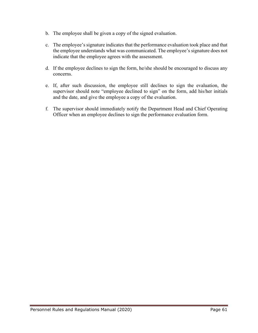- b. The employee shall be given a copy of the signed evaluation.
- c. The employee's signature indicates that the performance evaluation took place and that the employee understands what was communicated. The employee's signature does not indicate that the employee agrees with the assessment.
- d. If the employee declines to sign the form, he/she should be encouraged to discuss any concerns.
- e. If, after such discussion, the employee still declines to sign the evaluation, the supervisor should note "employee declined to sign" on the form, add his/her initials and the date, and give the employee a copy of the evaluation.
- f. The supervisor should immediately notify the Department Head and Chief Operating Officer when an employee declines to sign the performance evaluation form.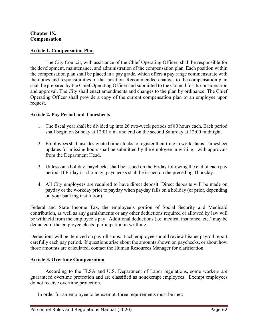#### **Chapter IX. Compensation**

## **Article 1. Compensation Plan**

The City Council, with assistance of the Chief Operating Officer, shall be responsible for the development, maintenance, and administration of the compensation plan. Each position within the compensation plan shall be placed in a pay grade, which offers a pay range commensurate with the duties and responsibilities of that position. Recommended changes to the compensation plan shall be prepared by the Chief Operating Officer and submitted to the Council for its consideration and approval. The City shall enact amendments and changes to the plan by ordinance. The Chief Operating Officer shall provide a copy of the current compensation plan to an employee upon request.

## **Article 2. Pay Period and Timesheets**

- 1. The fiscal year shall be divided up into 26 two-week periods of 80 hours each. Each period shall begin on Sunday at 12:01 a.m. and end on the second Saturday at 12:00 midnight.
- 2. Employees shall use designated time clocks to register their time in work status. Timesheet updates for missing hours shall be submitted by the employee in writing, with approvals from the Department Head.
- 3. Unless on a holiday, paychecks shall be issued on the Friday following the end of each pay period. If Friday is a holiday, paychecks shall be issued on the preceding Thursday.
- 4. All City employees are required to have direct deposit. Direct deposits will be made on payday or the workday prior to payday when payday falls on a holiday (or prior, depending on your banking institution).

Federal and State Income Tax, the employee's portion of Social Security and Medicaid contribution, as well as any garnishments or any other deductions required or allowed by law will be withheld from the employee's pay. Additional deductions (i.e. medical insurance, etc.) may be deducted if the employee elects' participation in writhing.

Deductions will be itemized on payroll stubs. Each employee should review his/her payroll report carefully each pay period. If questions arise about the amounts shown on paychecks, or about how those amounts are calculated, contact the Human Resources Manager for clarification

## **Article 3. Overtime Compensation**

According to the FLSA and U.S. Department of Labor regulations, some workers are guaranteed overtime protection and are classified as nonexempt employees. Exempt employees do not receive overtime protection.

In order for an employee to be exempt, three requirements must be met: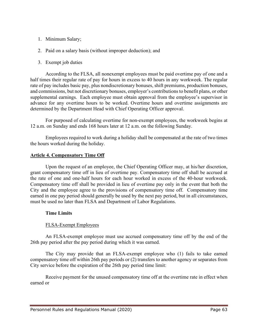- 1. Minimum Salary;
- 2. Paid on a salary basis (without improper deduction); and
- 3. Exempt job duties

According to the FLSA, all nonexempt employees must be paid overtime pay of one and a half times their regular rate of pay for hours in excess to 40 hours in any workweek. The regular rate of pay includes basic pay, plus nondiscretionary bonuses, shift premiums, production bonuses, and commissions, but not discretionary bonuses, employer's contributions to benefit plans, or other supplemental earnings. Each employee must obtain approval from the employee's supervisor in advance for any overtime hours to be worked. Overtime hours and overtime assignments are determined by the Department Head with Chief Operating Officer approval.

For purposed of calculating overtime for non-exempt employees, the workweek begins at 12 a.m. on Sunday and ends 168 hours later at 12 a.m. on the following Sunday.

Employees required to work during a holiday shall be compensated at the rate of two times the hours worked during the holiday.

## **Article 4. Compensatory Time Off**

Upon the request of an employee, the Chief Operating Officer may, at his/her discretion, grant compensatory time off in lieu of overtime pay. Compensatory time off shall be accrued at the rate of one and one-half hours for each hour worked in excess of the 40-hour workweek. Compensatory time off shall be provided in lieu of overtime pay only in the event that both the City and the employee agree to the provisions of compensatory time off. Compensatory time earned in one pay period should generally be used by the next pay period, but in all circumstances, must be used no later than FLSA and Department of Labor Regulations.

## **Time Limits**

# FLSA-Exempt Employees

An FLSA-exempt employee must use accrued compensatory time off by the end of the 26th pay period after the pay period during which it was earned.

The City may provide that an FLSA-exempt employee who (1) fails to take earned compensatory time off within 26th pay periods or (2) transfers to another agency or separates from City service before the expiration of the 26th pay period time limit:

Receive payment for the unused compensatory time off at the overtime rate in effect when earned or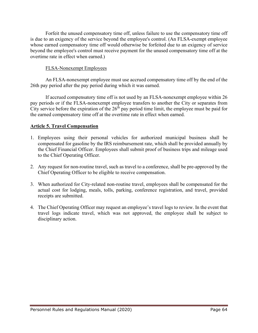Forfeit the unused compensatory time off, unless failure to use the compensatory time off is due to an exigency of the service beyond the employee's control. (An FLSA-exempt employee whose earned compensatory time off would otherwise be forfeited due to an exigency of service beyond the employee's control must receive payment for the unused compensatory time off at the overtime rate in effect when earned.)

## FLSA-Nonexempt Employees

An FLSA-nonexempt employee must use accrued compensatory time off by the end of the 26th pay period after the pay period during which it was earned.

If accrued compensatory time off is not used by an FLSA-nonexempt employee within 26 pay periods or if the FLSA-nonexempt employee transfers to another the City or separates from City service before the expiration of the  $26<sup>th</sup>$  pay period time limit, the employee must be paid for the earned compensatory time off at the overtime rate in effect when earned.

# **Article 5. Travel Compensation**

- 1. Employees using their personal vehicles for authorized municipal business shall be compensated for gasoline by the IRS reimbursement rate, which shall be provided annually by the Chief Financial Officer. Employees shall submit proof of business trips and mileage used to the Chief Operating Officer.
- 2. Any request for non-routine travel, such as travel to a conference, shall be pre-approved by the Chief Operating Officer to be eligible to receive compensation.
- 3. When authorized for City-related non-routine travel, employees shall be compensated for the actual cost for lodging, meals, tolls, parking, conference registration, and travel, provided receipts are submitted.
- 4. The Chief Operating Officer may request an employee's travel logs to review. In the event that travel logs indicate travel, which was not approved, the employee shall be subject to disciplinary action.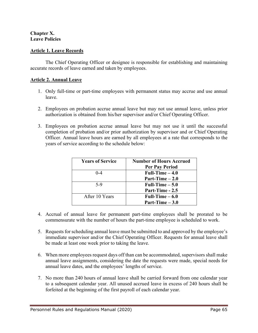## **Chapter X. Leave Policies**

## **Article 1. Leave Records**

The Chief Operating Officer or designee is responsible for establishing and maintaining accurate records of leave earned and taken by employees.

#### **Article 2. Annual Leave**

- 1. Only full-time or part-time employees with permanent status may accrue and use annual leave.
- 2. Employees on probation accrue annual leave but may not use annual leave, unless prior authorization is obtained from his/her supervisor and/or Chief Operating Officer.
- 3. Employees on probation accrue annual leave but may not use it until the successful completion of probation and/or prior authorization by supervisor and or Chief Operating Officer. Annual leave hours are earned by all employees at a rate that corresponds to the years of service according to the schedule below:

| <b>Years of Service</b> | <b>Number of Hours Accrued</b> |
|-------------------------|--------------------------------|
|                         | <b>Per Pay Period</b>          |
| $0 - 4$                 | Full-Time $-4.0$               |
|                         | Part-Time $-2.0$               |
| $5-9$                   | Full-Time $-5.0$               |
|                         | Part-Time - 2.5                |
| After 10 Years          | Full-Time $-6.0$               |
|                         | Part-Time $-3.0$               |

- 4. Accrual of annual leave for permanent part-time employees shall be prorated to be commensurate with the number of hours the part-time employee is scheduled to work.
- 5. Requests for scheduling annual leave must be submitted to and approved by the employee's immediate supervisor and/or the Chief Operating Officer. Requests for annual leave shall be made at least one week prior to taking the leave.
- 6. When more employees request days off than can be accommodated, supervisors shall make annual leave assignments, considering the date the requests were made, special needs for annual leave dates, and the employees' lengths of service.
- 7. No more than 240 hours of annual leave shall be carried forward from one calendar year to a subsequent calendar year. All unused accrued leave in excess of 240 hours shall be forfeited at the beginning of the first payroll of each calendar year.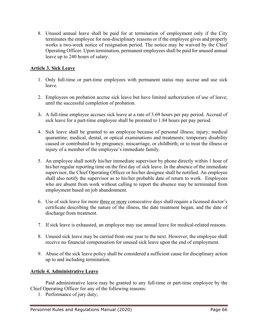8. Unused annual leave shall be paid for at termination of employment only if the City terminates the employee for non-disciplinary reasons or if the employee gives and properly works a two-week notice of resignation period. The notice may be waived by the Chief Operating Officer. Upon termination, permanent employees shall be paid for unused annual leave up to 240 hours of salary.

# **Article 3. Sick Leave**

- 1. Only full-time or part-time employees with permanent status may accrue and use sick leave.
- 2. Employees on probation accrue sick leave but have limited authorization of use of leave; until the successful completion of probation.
- 3. A full-time employee accrues sick leave at a rate of 3.69 hours per pay period. Accrual of sick leave for a part-time employee shall be prorated to 1.84 hours per pay period.
- 4. Sick leave shall be granted to an employee because of personal illness; injury; medical quarantine; medical, dental, or optical examinations and treatments; temporary disability caused or contributed to by pregnancy, miscarriage, or childbirth; or to treat the illness or injury of a member of the employee's immediate family.
- 5. An employee shall notify his/her immediate supervisor by phone directly within 1 hour of his/her regular reporting time on the first day of sick leave. In the absence of the immediate supervisor, the Chief Operating Officer or his/her designee shall be notified. An employee shall also notify the supervisor as to his/her probable date of return to work. Employees who are absent from work without calling to report the absence may be terminated from employment based on job abandonment.
- 6. Use of sick leave for more three or more consecutive days shall require a licensed doctor's certificate describing the nature of the illness, the date treatment began, and the date of discharge from treatment.
- 7. If sick leave is exhausted, an employee may use annual leave for medical-related reasons.
- 8. Unused sick leave may be carried from one year to the next. However, the employee shall receive no financial compensation for unused sick leave upon the end of employment.
- 9. Abuse of the sick leave policy shall be considered a sufficient cause for disciplinary action up to and including termination.

## **Article 4. Administrative Leave**

Paid administrative leave may be granted to any full-time or part-time employee by the Chief Operating Officer for any of the following reasons:

1. Performance of jury duty;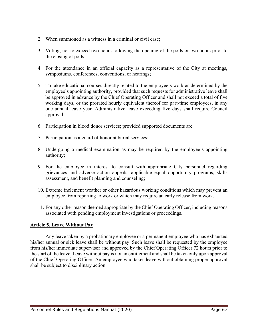- 2. When summoned as a witness in a criminal or civil case;
- 3. Voting, not to exceed two hours following the opening of the polls or two hours prior to the closing of polls;
- 4. For the attendance in an official capacity as a representative of the City at meetings, symposiums, conferences, conventions, or hearings;
- 5. To take educational courses directly related to the employee's work as determined by the employee's appointing authority, provided that such requests for administrative leave shall be approved in advance by the Chief Operating Officer and shall not exceed a total of five working days, or the prorated hourly equivalent thereof for part-time employees, in any one annual leave year. Administrative leave exceeding five days shall require Council approval;
- 6. Participation in blood donor services; provided supported documents are
- 7. Participation as a guard of honor at burial services;
- 8. Undergoing a medical examination as may be required by the employee's appointing authority;
- 9. For the employee in interest to consult with appropriate City personnel regarding grievances and adverse action appeals, applicable equal opportunity programs, skills assessment, and benefit planning and counseling;
- 10. Extreme inclement weather or other hazardous working conditions which may prevent an employee from reporting to work or which may require an early release from work.
- 11. For any other reason deemed appropriate by the Chief Operating Officer, including reasons associated with pending employment investigations or proceedings.

# **Article 5. Leave Without Pay**

Any leave taken by a probationary employee or a permanent employee who has exhausted his/her annual or sick leave shall be without pay. Such leave shall be requested by the employee from his/her immediate supervisor and approved by the Chief Operating Officer 72 hours prior to the start of the leave. Leave without pay is not an entitlement and shall be taken only upon approval of the Chief Operating Officer. An employee who takes leave without obtaining proper approval shall be subject to disciplinary action.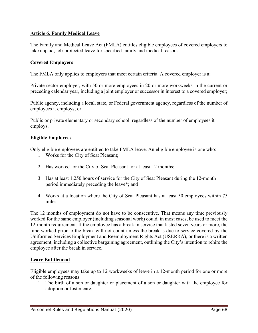# **Article 6. Family Medical Leave**

The Family and Medical Leave Act (FMLA) entitles eligible employees of covered employers to take unpaid, job-protected leave for specified family and medical reasons.

#### **Covered Employers**

The FMLA only applies to employers that meet certain criteria. A covered employer is a:

Private-sector employer, with 50 or more employees in 20 or more workweeks in the current or preceding calendar year, including a joint employer or successor in interest to a covered employer;

Public agency, including a local, state, or Federal government agency, regardless of the number of employees it employs; or

Public or private elementary or secondary school, regardless of the number of employees it employs.

#### **Eligible Employees**

Only eligible employees are entitled to take FMLA leave. An eligible employee is one who:

- 1. Works for the City of Seat Pleasant;
- 2. Has worked for the City of Seat Pleasant for at least 12 months;
- 3. Has at least 1,250 hours of service for the City of Seat Pleasant during the 12-month period immediately preceding the leave\*; and
- 4. Works at a location where the City of Seat Pleasant has at least 50 employees within 75 miles.

The 12 months of employment do not have to be consecutive. That means any time previously worked for the same employer (including seasonal work) could, in most cases, be used to meet the 12-month requirement. If the employee has a break in service that lasted seven years or more, the time worked prior to the break will not count unless the break is due to service covered by the Uniformed Services Employment and Reemployment Rights Act (USERRA), or there is a written agreement, including a collective bargaining agreement, outlining the City's intention to rehire the employee after the break in service.

#### **Leave Entitlement**

Eligible employees may take up to 12 workweeks of leave in a 12-month period for one or more of the following reasons:

1. The birth of a son or daughter or placement of a son or daughter with the employee for adoption or foster care;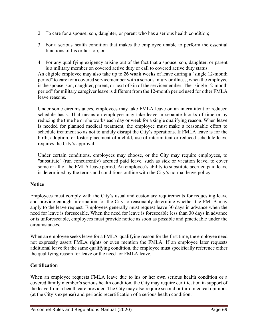- 2. To care for a spouse, son, daughter, or parent who has a serious health condition;
- 3. For a serious health condition that makes the employee unable to perform the essential functions of his or her job; or
- 4. For any qualifying exigency arising out of the fact that a spouse, son, daughter, or parent is a military member on covered active duty or call to covered active duty status.

An eligible employee may also take up to **26 work weeks** of leave during a "single 12-month period" to care for a covered servicemember with a serious injury or illness, when the employee is the spouse, son, daughter, parent, or next of kin of the servicemember. The "single 12-month period" for military caregiver leave is different from the 12-month period used for other FMLA leave reasons.

Under some circumstances, employees may take FMLA leave on an intermittent or reduced schedule basis. That means an employee may take leave in separate blocks of time or by reducing the time he or she works each day or week for a single qualifying reason. When leave is needed for planned medical treatment, the employee must make a reasonable effort to schedule treatment so as not to unduly disrupt the City's operations. If FMLA leave is for the birth, adoption, or foster placement of a child, use of intermittent or reduced schedule leave requires the City's approval.

Under certain conditions, employees may choose, or the City may require employees, to "substitute" (run concurrently) accrued paid leave, such as sick or vacation leave, to cover some or all of the FMLA leave period. An employee's ability to substitute accrued paid leave is determined by the terms and conditions outline with the City's normal leave policy.

# **Notice**

Employees must comply with the City's usual and customary requirements for requesting leave and provide enough information for the City to reasonably determine whether the FMLA may apply to the leave request. Employees generally must request leave 30 days in advance when the need for leave is foreseeable. When the need for leave is foreseeable less than 30 days in advance or is unforeseeable, employees must provide notice as soon as possible and practicable under the circumstances.

When an employee seeks leave for a FMLA-qualifying reason for the first time, the employee need not expressly assert FMLA rights or even mention the FMLA. If an employee later requests additional leave for the same qualifying condition, the employee must specifically reference either the qualifying reason for leave or the need for FMLA leave.

# **Certification**

When an employee requests FMLA leave due to his or her own serious health condition or a covered family member's serious health condition, the City may require certification in support of the leave from a health care provider. The City may also require second or third medical opinions (at the City's expense) and periodic recertification of a serious health condition.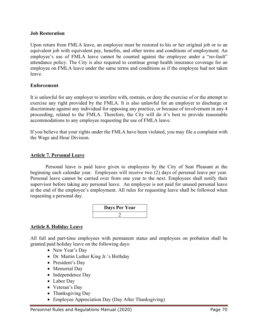#### **Job Restoration**

Upon return from FMLA leave, an employee must be restored to his or her original job or to an equivalent job with equivalent pay, benefits, and other terms and conditions of employment. An employee's use of FMLA leave cannot be counted against the employee under a "no-fault" attendance policy. The City is also required to continue group health insurance coverage for an employee on FMLA leave under the same terms and conditions as if the employee had not taken leave.

#### **Enforcement**

It is unlawful for any employer to interfere with, restrain, or deny the exercise of or the attempt to exercise any right provided by the FMLA. It is also unlawful for an employer to discharge or discriminate against any individual for opposing any practice, or because of involvement in any 4 proceeding, related to the FMLA. Therefore, the City will do it's best to provide reasonable accommodations to any employee requesting the use of FMLA leave.

If you believe that your rights under the FMLA have been violated, you may file a complaint with the Wage and Hour Division.

## **Article 7. Personal Leave**

Personal leave is paid leave given to employees by the City of Seat Pleasant at the beginning each calendar year. Employees will receive two (2) days of personal leave per year. Personal leave cannot be carried over from one year to the next. Employees shall notify their supervisor before taking any personal leave. An employee is not paid for unused personal leave at the end of the employee's employment. All rules for requesting leave shall be followed when requesting a personal day.



## **Article 8. Holiday Leave**

All full and part-time employees with permanent status and employees on probation shall be granted paid holiday leave on the following days:

- New Year's Day
- Dr. Martin Luther King Jr.'s Birthday
- President's Day
- Memorial Day
- Independence Day
- Labor Day
- Veteran's Day
- Thanksgiving Day
- Employee Appreciation Day (Day After Thanksgiving)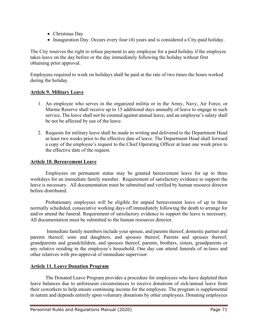- Christmas Day
- Inauguration Day. Occurs every four (4) years and is considered a City-paid holiday.

The City reserves the right to refuse payment to any employee for a paid holiday if the employee takes leave on the day before or the day immediately following the holiday without first obtaining prior approval.

Employees required to work on holidays shall be paid at the rate of two times the hours worked during the holiday.

# **Article 9. Military Leave**

- 1. An employee who serves in the organized militia or in the Army, Navy, Air Force, or Marine Reserve shall receive up to 15 additional days annually of leave to engage in such service. The leave shall not be counted against annual leave, and an employee's salary shall be not be affected by use of the leave.
- 2. Requests for military leave shall be made in writing and delivered to the Department Head at least two weeks prior to the effective date of leave. The Department Head shall forward a copy of the employee's request to the Chief Operating Officer at least one week prior to the effective date of the request.

## **Article 10. Bereavement Leave**

Employees on permanent status may be granted bereavement leave for up to three workdays for an immediate family member. Requirement of satisfactory evidence to support the leave is necessary. All documentation must be submitted and verified by human resource director before distributed.

Probationary employees will be eligible for unpaid bereavement leave of up to three normally scheduled, consecutive working days off immediately following the death to arrange for and/or attend the funeral. Requirement of satisfactory evidence to support the leave is necessary. All documentation must be submitted to the human resources director.

Immediate family members include your spouse, and parents thereof, domestic partner and parents thereof; sons and daughters, and spouses thereof, Parents and spouses thereof; grandparents and grandchildren, and spouses thereof, parents, brothers, sisters, grandparents or any relative residing in the employee's household. One day can attend funerals of in-laws and other relatives with pre-approval of immediate supervisor.

## **Article 11. Leave Donation Program**

The Donated Leave Program provides a procedure for employees who have depleted their leave balances due to unforeseen circumstances to receive donations of sick/annual leave from their coworkers to help ensure continuing income for the employee. The program is supplemental in nature and depends entirely upon voluntary donations by other employees. Donating employees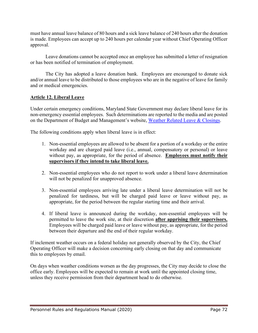must have annual leave balance of 80 hours and a sick leave balance of 240 hours after the donation is made. Employees can accept up to 240 hours per calendar year without Chief Operating Officer approval.

Leave donations cannot be accepted once an employee has submitted a letter of resignation or has been notified of termination of employment.

The City has adopted a leave donation bank. Employees are encouraged to donate sick and/or annual leave to be distributed to those employees who are in the negative of leave for family and or medical emergencies.

# **Article 12. Liberal Leave**

Under certain emergency conditions, Maryland State Government may declare liberal leave for its non-emergency essential employees. Such determinations are reported to the media and are posted on the Department of Budget and Management's website, [Weather Related Leave & Closings.](http://dbm.maryland.gov/employees/Pages/WeatherRel.aspx)

The following conditions apply when liberal leave is in effect:

- 1. Non-essential employees are allowed to be absent for a portion of a workday or the entire workday and are charged paid leave (i.e., annual, compensatory or personal) or leave without pay, as appropriate, for the period of absence. **Employees must notify their supervisors if they intend to take liberal leave.**
- 2. Non-essential employees who do not report to work under a liberal leave determination will not be penalized for unapproved absence.
- 3. Non-essential employees arriving late under a liberal leave determination will not be penalized for tardiness, but will be charged paid leave or leave without pay, as appropriate, for the period between the regular starting time and their arrival.
- 4. If liberal leave is announced during the workday, non-essential employees will be permitted to leave the work site, at their discretion **after apprising their supervisors.** Employees will be charged paid leave or leave without pay, as appropriate, for the period between their departure and the end of their regular workday.

If inclement weather occurs on a federal holiday not generally observed by the City, the Chief Operating Officer will make a decision concerning early closing on that day and communicate this to employees by email.

On days when weather conditions worsen as the day progresses, the City may decide to close the office early. Employees will be expected to remain at work until the appointed closing time, unless they receive permission from their department head to do otherwise.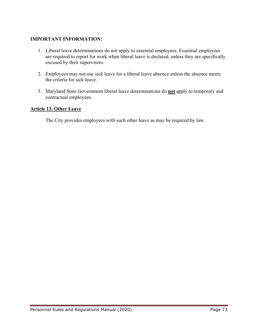# **IMPORTANT INFORMATION:**

- 1. Liberal leave determinations do not apply to essential employees. Essential employees are required to report for work when liberal leave is declared, unless they are specifically excused by their supervisors.
- 2. Employees may not use sick leave for a liberal leave absence unless the absence meets the criteria for sick leave.
- 3. Maryland State Government liberal leave determinations do **not** apply to temporary and contractual employees.

# **Article 13. Other Leave**

The City provides employees with such other leave as may be required by law.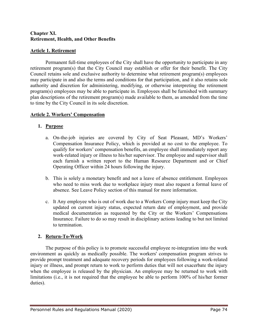### **Chapter XI. Retirement, Health, and Other Benefits**

### **Article 1. Retirement**

Permanent full-time employees of the City shall have the opportunity to participate in any retirement program(s) that the City Council may establish or offer for their benefit. The City Council retains sole and exclusive authority to determine what retirement program(s) employees may participate in and also the terms and conditions for that participation, and it also retains sole authority and discretion for administering, modifying, or otherwise interpreting the retirement program(s) employees may be able to participate in. Employees shall be furnished with summary plan descriptions of the retirement program(s) made available to them, as amended from the time to time by the City Council in its sole discretion.

# **Article 2. Workers' Compensation**

### **1. Purpose**

- a. On-the-job injuries are covered by City of Seat Pleasant, MD's Workers' Compensation Insurance Policy, which is provided at no cost to the employee. To qualify for workers' compensation benefits, an employee shall immediately report any work-related injury or illness to his/her supervisor. The employee and supervisor shall each furnish a written report to the Human Resource Department and or Chief Operating Officer within 24 hours following the injury.
- b. This is solely a monetary benefit and not a leave of absence entitlement. Employees who need to miss work due to workplace injury must also request a formal leave of absence. See Leave Policy section of this manual for more information.
- c. It Any employee who is out of work due to a Workers Comp injury must keep the City updated on current injury status, expected return date of employment, and provide medical documentation as requested by the City or the Workers' Compensations Insurance. Failure to do so may result in disciplinary actions leading to but not limited to termination.

### **2. Return-To-Work**

The purpose of this policy is to promote successful employee re-integration into the work environment as quickly as medically possible. The workers' compensation program strives to provide prompt treatment and adequate recovery periods for employees following a work-related injury or illness, and prompt return to work to perform duties that will not exacerbate the injury when the employee is released by the physician. An employee may be returned to work with limitations (i.e., it is not required that the employee be able to perform 100% of his/her former duties).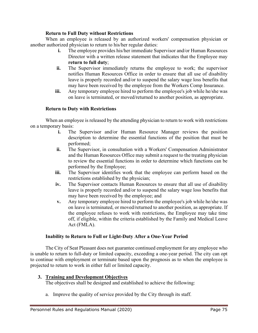### **Return to Full Duty without Restrictions**

When an employee is released by an authorized workers' compensation physician or another authorized physician to return to his/her regular duties:

- **i.** The employee provides his/her immediate Supervisor and/or Human Resources Director with a written release statement that indicates that the Employee may **return to full duty**;
- **ii.** The Supervisor immediately returns the employee to work; the supervisor notifies Human Resources Office in order to ensure that all use of disability leave is properly recorded and/or to suspend the salary wage loss benefits that may have been received by the employee from the Workers Comp Insurance.
- **iii.** Any temporary employee hired to perform the employee's job while he/she was on leave is terminated, or moved/returned to another position, as appropriate.

# **Return to Duty with Restrictions**

When an employee is released by the attending physician to return to work with restrictions on a temporary basis:

- **i.** The Supervisor and/or Human Resource Manager reviews the position description to determine the essential functions of the position that must be performed;
- **ii.** The Supervisor, in consultation with a Workers' Compensation Administrator and the Human Resources Office may submit a request to the treating physician to review the essential functions in order to determine which functions can be performed by the Employee;
- **iii.** The Supervisor identifies work that the employee can perform based on the restrictions established by the physician;
- **iv.** The Supervisor contacts Human Resources to ensure that all use of disability leave is properly recorded and/or to suspend the salary wage loss benefits that may have been received by the employee; and
- **v.** Any temporary employee hired to perform the employee's job while he/she was on leave is terminated, or moved/returned to another position, as appropriate. If the employee refuses to work with restrictions, the Employee may take time off, if eligible, within the criteria established by the Family and Medical Leave Act (FMLA).

### **Inability to Return to Full or Light-Duty After a One-Year Period**

The City of Seat Pleasant does not guarantee continued employment for any employee who is unable to return to full-duty or limited capacity, exceeding a one-year period. The city can opt to continue with employment or terminate based upon the prognosis as to when the employee is projected to return to work in either full or limited capacity.

### **3. Training and Development Objectives**

The objectives shall be designed and established to achieve the following:

a. Improve the quality of service provided by the City through its staff.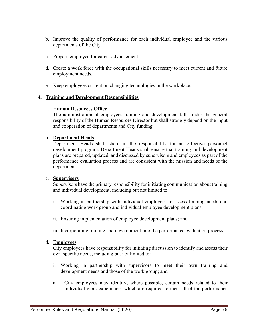- b. Improve the quality of performance for each individual employee and the various departments of the City.
- c. Prepare employee for career advancement.
- d. Create a work force with the occupational skills necessary to meet current and future employment needs.
- e. Keep employees current on changing technologies in the workplace.

#### **4. Training and Development Responsibilities**

#### a. **Human Resources Office**

The administration of employees training and development falls under the general responsibility of the Human Resources Director but shall strongly depend on the input and cooperation of departments and City funding.

#### b. **Department Heads**

Department Heads shall share in the responsibility for an effective personnel development program. Department Heads shall ensure that training and development plans are prepared, updated, and discussed by supervisors and employees as part of the performance evaluation process and are consistent with the mission and needs of the department.

#### c. **Supervisors**

Supervisors have the primary responsibility for initiating communication about training and individual development, including but not limited to:

- i. Working in partnership with individual employees to assess training needs and coordinating work group and individual employee development plans;
- ii. Ensuring implementation of employee development plans; and
- iii. Incorporating training and development into the performance evaluation process.

#### d. **Employees**

City employees have responsibility for initiating discussion to identify and assess their own specific needs, including but not limited to:

- i. Working in partnership with supervisors to meet their own training and development needs and those of the work group; and
- ii. City employees may identify, where possible, certain needs related to their individual work experiences which are required to meet all of the performance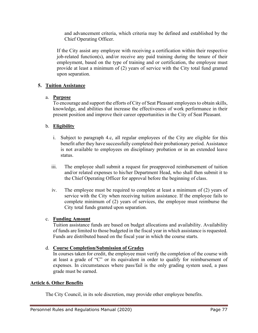and advancement criteria, which criteria may be defined and established by the Chief Operating Officer.

If the City assist any employee with receiving a certification within their respective job-related function(s), and/or receive any paid training during the tenure of their employment, based on the type of training and or certification, the employee must provide at least a minimum of (2) years of service with the City total fund granted upon separation.

# **5. Tuition Assistance**

# a. **Purpose**

To encourage and support the efforts of City of Seat Pleasant employees to obtain skills, knowledge, and abilities that increase the effectiveness of work performance in their present position and improve their career opportunities in the City of Seat Pleasant.

# b. **Eligibility**

- i. Subject to paragraph 4.c, all regular employees of the City are eligible for this benefit after they have successfully completed their probationary period. Assistance is not available to employees on disciplinary probation or in an extended leave status.
- iii. The employee shall submit a request for preapproved reimbursement of tuition and/or related expenses to his/her Department Head, who shall then submit it to the Chief Operating Officer for approval before the beginning of class.
- iv. The employee must be required to complete at least a minimum of (2) years of service with the City when receiving tuition assistance. If the employee fails to complete minimum of (2) years of services, the employee must reimburse the City total funds granted upon separation.

### c. **Funding Amount**

Tuition assistance funds are based on budget allocations and availability. Availability of funds are limited to those budgeted in the fiscal year in which assistance is requested. Funds are distributed based on the fiscal year in which the course starts.

### d. **Course Completion/Submission of Grades**

In courses taken for credit, the employee must verify the completion of the course with at least a grade of "C" or its equivalent in order to qualify for reimbursement of expenses. In circumstances where pass/fail is the only grading system used, a pass grade must be earned.

### **Article 6. Other Benefits**

The City Council, in its sole discretion, may provide other employee benefits.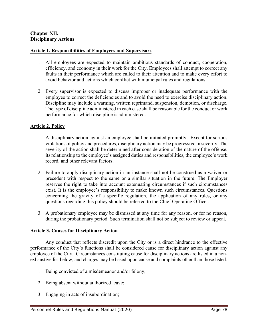#### **Article 1. Responsibilities of Employees and Supervisors**

- 1. All employees are expected to maintain ambitious standards of conduct, cooperation, efficiency, and economy in their work for the City. Employees shall attempt to correct any faults in their performance which are called to their attention and to make every effort to avoid behavior and actions which conflict with municipal rules and regulations.
- 2. Every supervisor is expected to discuss improper or inadequate performance with the employee to correct the deficiencies and to avoid the need to exercise disciplinary action. Discipline may include a warning, written reprimand, suspension, demotion, or discharge. The type of discipline administered in each case shall be reasonable for the conduct or work performance for which discipline is administered.

### **Article 2. Policy**

- 1. A disciplinary action against an employee shall be initiated promptly. Except for serious violations of policy and procedures, disciplinary action may be progressive in severity. The severity of the action shall be determined after consideration of the nature of the offense, its relationship to the employee's assigned duties and responsibilities, the employee's work record, and other relevant factors.
- 2. Failure to apply disciplinary action in an instance shall not be construed as a waiver or precedent with respect to the same or a similar situation in the future. The Employer reserves the right to take into account extenuating circumstances if such circumstances exist. It is the employee's responsibility to make known such circumstances. Questions concerning the gravity of a specific regulation, the application of any rules, or any questions regarding this policy should be referred to the Chief Operating Officer.
- 3. A probationary employee may be dismissed at any time for any reason, or for no reason, during the probationary period. Such termination shall not be subject to review or appeal.

### **Article 3. Causes for Disciplinary Action**

Any conduct that reflects discredit upon the City or is a direct hindrance to the effective performance of the City's functions shall be considered cause for disciplinary action against any employee of the City. Circumstances constituting cause for disciplinary actions are listed in a nonexhaustive list below, and charges may be based upon cause and complaints other than those listed:

- 1. Being convicted of a misdemeanor and/or felony;
- 2. Being absent without authorized leave;
- 3. Engaging in acts of insubordination;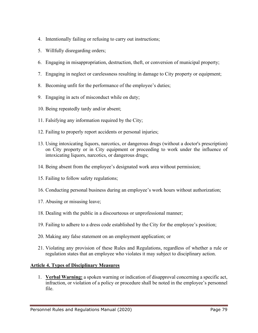- 4. Intentionally failing or refusing to carry out instructions;
- 5. Willfully disregarding orders;
- 6. Engaging in misappropriation, destruction, theft, or conversion of municipal property;
- 7. Engaging in neglect or carelessness resulting in damage to City property or equipment;
- 8. Becoming unfit for the performance of the employee's duties;
- 9. Engaging in acts of misconduct while on duty;
- 10. Being repeatedly tardy and/or absent;
- 11. Falsifying any information required by the City;
- 12. Failing to properly report accidents or personal injuries;
- 13. Using intoxicating liquors, narcotics, or dangerous drugs (without a doctor's prescription) on City property or in City equipment or proceeding to work under the influence of intoxicating liquors, narcotics, or dangerous drugs;
- 14. Being absent from the employee's designated work area without permission;
- 15. Failing to follow safety regulations;
- 16. Conducting personal business during an employee's work hours without authorization;
- 17. Abusing or misusing leave;
- 18. Dealing with the public in a discourteous or unprofessional manner;
- 19. Failing to adhere to a dress code established by the City for the employee's position;
- 20. Making any false statement on an employment application; or
- 21. Violating any provision of these Rules and Regulations, regardless of whether a rule or regulation states that an employee who violates it may subject to disciplinary action.

### **Article 4. Types of Disciplinary Measures**

1. **Verbal Warning:** a spoken warning or indication of disapproval concerning a specific act, infraction, or violation of a policy or procedure shall be noted in the employee's personnel file.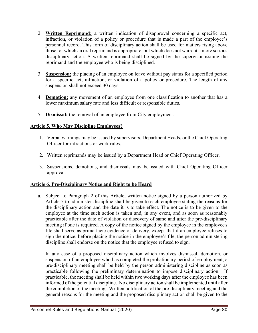- 2. **Written Reprimand:** a written indication of disapproval concerning a specific act, infraction, or violation of a policy or procedure that is made a part of the employee's personnel record. This form of disciplinary action shall be used for matters rising above those for which an oral reprimand is appropriate, but which does not warrant a more serious disciplinary action. A written reprimand shall be signed by the supervisor issuing the reprimand and the employee who is being disciplined.
- 3. **Suspension:** the placing of an employee on leave without pay status for a specified period for a specific act, infraction, or violation of a policy or procedure. The length of any suspension shall not exceed 30 days.
- 4. **Demotion:** any movement of an employee from one classification to another that has a lower maximum salary rate and less difficult or responsible duties.
- 5. **Dismissal:** the removal of an employee from City employment.

# **Article 5. Who May Discipline Employees?**

- 1. Verbal warnings may be issued by supervisors, Department Heads, or the Chief Operating Officer for infractions or work rules.
- 2. Written reprimands may be issued by a Department Head or Chief Operating Officer.
- 3. Suspensions, demotions, and dismissals may be issued with Chief Operating Officer approval.

# **Article 6. Pre-Disciplinary Notice and Right to be Heard**

a. Subject to Paragraph 2 of this Article, written notice signed by a person authorized by Article 5 to administer discipline shall be given to each employee stating the reasons for the disciplinary action and the date it is to take effect. The notice is to be given to the employee at the time such action is taken and, in any event, and as soon as reasonably practicable after the date of violation or discovery of same and after the pre-disciplinary meeting if one is required. A copy of the notice signed by the employee in the employee's file shall serve as prima facie evidence of delivery, except that if an employee refuses to sign the notice, before placing the notice in the employee's file, the person administering discipline shall endorse on the notice that the employee refused to sign.

In any case of a proposed disciplinary action which involves dismissal, demotion, or suspension of an employee who has completed the probationary period of employment, a pre-disciplinary meeting shall be held by the person administering discipline as soon as practicable following the preliminary determination to impose disciplinary action. If practicable, the meeting shall be held within two working days after the employee has been informed of the potential discipline. No disciplinary action shall be implemented until after the completion of the meeting. Written notification of the pre-disciplinary meeting and the general reasons for the meeting and the proposed disciplinary action shall be given to the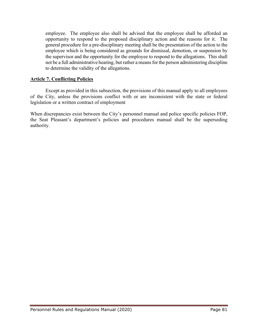employee. The employee also shall be advised that the employee shall be afforded an opportunity to respond to the proposed disciplinary action and the reasons for it. The general procedure for a pre-disciplinary meeting shall be the presentation of the action to the employee which is being considered as grounds for dismissal, demotion, or suspension by the supervisor and the opportunity for the employee to respond to the allegations. This shall not be a full administrative hearing, but rather a means for the person administering discipline to determine the validity of the allegations.

### **Article 7. Conflicting Policies**

Except as provided in this subsection, the provisions of this manual apply to all employees of the City, unless the provisions conflict with or are inconsistent with the state or federal legislation or a written contract of employment

When discrepancies exist between the City's personnel manual and police specific policies FOP, the Seat Pleasant's department's policies and procedures manual shall be the superseding authority.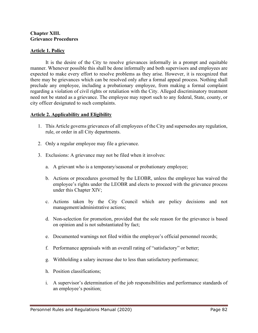#### **Chapter XIII. Grievance Procedures**

#### **Article 1. Policy**

It is the desire of the City to resolve grievances informally in a prompt and equitable manner. Whenever possible this shall be done informally and both supervisors and employees are expected to make every effort to resolve problems as they arise. However, it is recognized that there may be grievances which can be resolved only after a formal appeal process. Nothing shall preclude any employee, including a probationary employee, from making a formal complaint regarding a violation of civil rights or retaliation with the City. Alleged discriminatory treatment need not be stated as a grievance. The employee may report such to any federal, State, county, or city officer designated to such complaints.

#### **Article 2. Applicability and Eligibility**

- 1. This Article governs grievances of all employees of the City and supersedes any regulation, rule, or order in all City departments.
- 2. Only a regular employee may file a grievance.
- 3. Exclusions: A grievance may not be filed when it involves:
	- a. A grievant who is a temporary/seasonal or probationary employee;
	- b. Actions or procedures governed by the LEOBR, unless the employee has waived the employee's rights under the LEOBR and elects to proceed with the grievance process under this Chapter XIV;
	- c. Actions taken by the City Council which are policy decisions and not management/administrative actions;
	- d. Non-selection for promotion, provided that the sole reason for the grievance is based on opinion and is not substantiated by fact;
	- e. Documented warnings not filed within the employee's official personnel records;
	- f. Performance appraisals with an overall rating of "satisfactory" or better;
	- g. Withholding a salary increase due to less than satisfactory performance;
	- h. Position classifications;
	- i. A supervisor's determination of the job responsibilities and performance standards of an employee's position;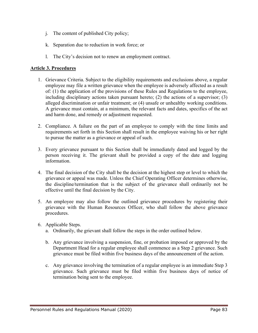- j. The content of published City policy;
- k. Separation due to reduction in work force; or
- l. The City's decision not to renew an employment contract.

# **Article 3. Procedures**

- 1. Grievance Criteria. Subject to the eligibility requirements and exclusions above, a regular employee may file a written grievance when the employee is adversely affected as a result of: (1) the application of the provisions of these Rules and Regulations to the employee, including disciplinary actions taken pursuant hereto; (2) the actions of a supervisor; (3) alleged discrimination or unfair treatment; or (4) unsafe or unhealthy working conditions. A grievance must contain, at a minimum, the relevant facts and dates, specifics of the act and harm done, and remedy or adjustment requested.
- 2. Compliance. A failure on the part of an employee to comply with the time limits and requirements set forth in this Section shall result in the employee waiving his or her right to pursue the matter as a grievance or appeal of such.
- 3. Every grievance pursuant to this Section shall be immediately dated and logged by the person receiving it. The grievant shall be provided a copy of the date and logging information.
- 4. The final decision of the City shall be the decision at the highest step or level to which the grievance or appeal was made. Unless the Chief Operating Officer determines otherwise, the discipline/termination that is the subject of the grievance shall ordinarily not be effective until the final decision by the City.
- 5. An employee may also follow the outlined grievance procedures by registering their grievance with the Human Resources Officer, who shall follow the above grievance procedures.
- 6. Applicable Steps.
	- a. Ordinarily, the grievant shall follow the steps in the order outlined below.
	- b. Any grievance involving a suspension, fine, or probation imposed or approved by the Department Head for a regular employee shall commence as a Step 2 grievance. Such grievance must be filed within five business days of the announcement of the action.
	- c. Any grievance involving the termination of a regular employee is an immediate Step 3 grievance. Such grievance must be filed within five business days of notice of termination being sent to the employee.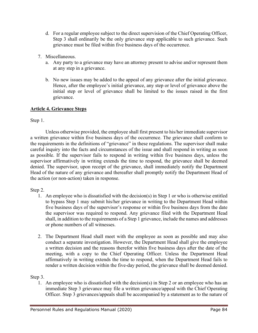- d. For a regular employee subject to the direct supervision of the Chief Operating Officer, Step 3 shall ordinarily be the only grievance step applicable to such grievance. Such grievance must be filed within five business days of the occurrence.
- 7. Miscellaneous.
	- a. Any party to a grievance may have an attorney present to advise and/or represent them at any step in a grievance.
	- b. No new issues may be added to the appeal of any grievance after the initial grievance. Hence, after the employee's initial grievance, any step or level of grievance above the initial step or level of grievance shall be limited to the issues raised in the first grievance.

# **Article 4. Grievance Steps**

Step 1.

Unless otherwise provided, the employee shall first present to his/her immediate supervisor a written grievance within five business days of the occurrence. The grievance shall conform to the requirements in the definitions of "grievance" in these regulations. The supervisor shall make careful inquiry into the facts and circumstances of the issue and shall respond in writing as soon as possible. If the supervisor fails to respond in writing within five business days, unless the supervisor affirmatively in writing extends the time to respond, the grievance shall be deemed denied. The supervisor, upon receipt of the grievance, shall immediately notify the Department Head of the nature of any grievance and thereafter shall promptly notify the Department Head of the action (or non-action) taken in response.

### Step 2.

- 1. An employee who is dissatisfied with the decision(s) in Step 1 or who is otherwise entitled to bypass Step 1 may submit his/her grievance in writing to the Department Head within five business days of the supervisor's response or within five business days from the date the supervisor was required to respond. Any grievance filed with the Department Head shall, in addition to the requirements of a Step 1 grievance, include the names and addresses or phone numbers of all witnesses.
- 2. The Department Head shall meet with the employee as soon as possible and may also conduct a separate investigation. However, the Department Head shall give the employee a written decision and the reasons therefor within five business days after the date of the meeting, with a copy to the Chief Operating Officer. Unless the Department Head affirmatively in writing extends the time to respond, when the Department Head fails to render a written decision within the five-day period, the grievance shall be deemed denied.

Step 3.

1. An employee who is dissatisfied with the decision(s) in Step 2 or an employee who has an immediate Step 3 grievance may file a written grievance/appeal with the Chief Operating Officer. Step 3 grievances/appeals shall be accompanied by a statement as to the nature of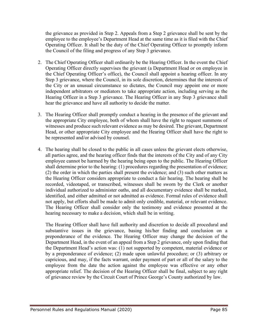the grievance as provided in Step 2. Appeals from a Step 2 grievance shall be sent by the employee to the employee's Department Head at the same time as it is filed with the Chief Operating Officer. It shall be the duty of the Chief Operating Officer to promptly inform the Council of the filing and progress of any Step 3 grievance.

- 2. The Chief Operating Officer shall ordinarily be the Hearing Officer. In the event the Chief Operating Officer directly supervises the grievant (a Department Head or on employee in the Chief Operating Officer's office), the Council shall appoint a hearing officer. In any Step 3 grievance, where the Council, in its sole discretion, determines that the interests of the City or an unusual circumstance so dictates, the Council may appoint one or more independent arbitrators or mediators to take appropriate action, including serving as the Hearing Officer in a Step 3 grievance. The Hearing Officer in any Step 3 grievance shall hear the grievance and have all authority to decide the matter.
- 3. The Hearing Officer shall promptly conduct a hearing in the presence of the grievant and the appropriate City employee, both of whom shall have the right to request summons of witnesses and produce such relevant evidence as may be desired. The grievant, Department Head, or other appropriate City employee and the Hearing Officer shall have the right to be represented and/or advised by counsel.
- 4. The hearing shall be closed to the public in all cases unless the grievant elects otherwise, all parties agree, and the hearing officer finds that the interests of the City and of any City employee cannot be harmed by the hearing being open to the public. The Hearing Officer shall determine prior to the hearing: (1) procedures regarding the presentation of evidence; (2) the order in which the parties shall present the evidence; and (3) such other matters as the Hearing Officer considers appropriate to conduct a fair hearing. The hearing shall be recorded, videotaped, or transcribed, witnesses shall be sworn by the Clerk or another individual authorized to administer oaths, and all documentary evidence shall be marked, identified, and either admitted or not admitted as evidence. Formal rules of evidence shall not apply, but efforts shall be made to admit only credible, material, or relevant evidence. The Hearing Officer shall consider only the testimony and evidence presented at the hearing necessary to make a decision, which shall be in writing.

The Hearing Officer shall have full authority and discretion to decide all procedural and substantive issues in the grievance, basing his/her finding and conclusion on a preponderance of the evidence. The Hearing Officer may change the decision of the Department Head, in the event of an appeal from a Step 2 grievance, only upon finding that the Department Head's action was: (1) not supported by competent, material evidence or by a preponderance of evidence; (2) made upon unlawful procedure; or (3) arbitrary or capricious, and may, if the facts warrant, order payment of part or all of the salary to the employee from the date the action against the employee was effective or any other appropriate relief. The decision of the Hearing Officer shall be final, subject to any right of grievance review by the Circuit Court of Prince George's County authorized by law.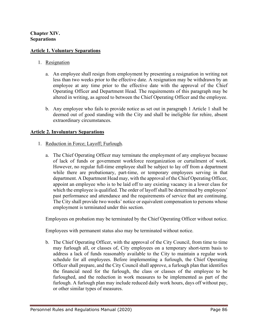### **Chapter XIV. Separations**

#### **Article 1. Voluntary Separations**

#### 1. Resignation

- a. An employee shall resign from employment by presenting a resignation in writing not less than two weeks prior to the effective date. A resignation may be withdrawn by an employee at any time prior to the effective date with the approval of the Chief Operating Officer and Department Head. The requirements of this paragraph may be altered in writing, as agreed to between the Chief Operating Officer and the employee.
- b. Any employee who fails to provide notice as set out in paragraph 1 Article 1 shall be deemed out of good standing with the City and shall be ineligible for rehire, absent extraordinary circumstances.

#### **Article 2. Involuntary Separations**

- 1. Reduction in Force; Layoff; Furlough.
	- a. The Chief Operating Officer may terminate the employment of any employee because of lack of funds or government workforce reorganization or curtailment of work. However, no regular full-time employee shall be subject to lay off from a department while there are probationary, part-time, or temporary employees serving in that department. A Department Head may, with the approval of the Chief Operating Officer, appoint an employee who is to be laid off to any existing vacancy in a lower class for which the employee is qualified. The order of layoff shall be determined by employees' past performance and attendance and the requirements of service that are continuing. The City shall provide two weeks' notice or equivalent compensation to persons whose employment is terminated under this section.

Employees on probation may be terminated by the Chief Operating Officer without notice.

Employees with permanent status also may be terminated without notice.

b. The Chief Operating Officer, with the approval of the City Council, from time to time may furlough all, or classes of, City employees on a temporary short-term basis to address a lack of funds reasonably available to the City to maintain a regular work schedule for all employees. Before implementing a furlough, the Chief Operating Officer shall prepare, and the City Council shall approve, a furlough plan that identifies the financial need for the furlough, the class or classes of the employee to be furloughed, and the reduction in work measures to be implemented as part of the furlough. A furlough plan may include reduced daily work hours, days off without pay, or other similar types of measures.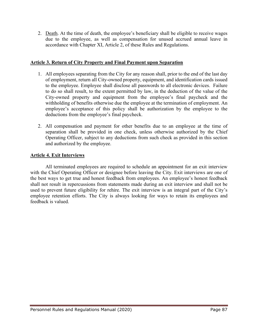2. Death. At the time of death, the employee's beneficiary shall be eligible to receive wages due to the employee, as well as compensation for unused accrued annual leave in accordance with Chapter XI, Article 2, of these Rules and Regulations.

### **Article 3. Return of City Property and Final Payment upon Separation**

- 1. All employees separating from the City for any reason shall, prior to the end of the last day of employment, return all City-owned property, equipment, and identification cards issued to the employee. Employee shall disclose all passwords to all electronic devices. Failure to do so shall result, to the extent permitted by law, in the deduction of the value of the City-owned property and equipment from the employee's final paycheck and the withholding of benefits otherwise due the employee at the termination of employment. An employee's acceptance of this policy shall be authorization by the employee to the deductions from the employee's final paycheck.
- 2. All compensation and payment for other benefits due to an employee at the time of separation shall be provided in one check, unless otherwise authorized by the Chief Operating Officer, subject to any deductions from such check as provided in this section and authorized by the employee.

# **Article 4. Exit Interviews**

All terminated employees are required to schedule an appointment for an exit interview with the Chief Operating Officer or designee before leaving the City. Exit interviews are one of the best ways to get true and honest feedback from employees. An employee's honest feedback shall not result in repercussions from statements made during an exit interview and shall not be used to prevent future eligibility for rehire. The exit interview is an integral part of the City's employee retention efforts. The City is always looking for ways to retain its employees and feedback is valued.